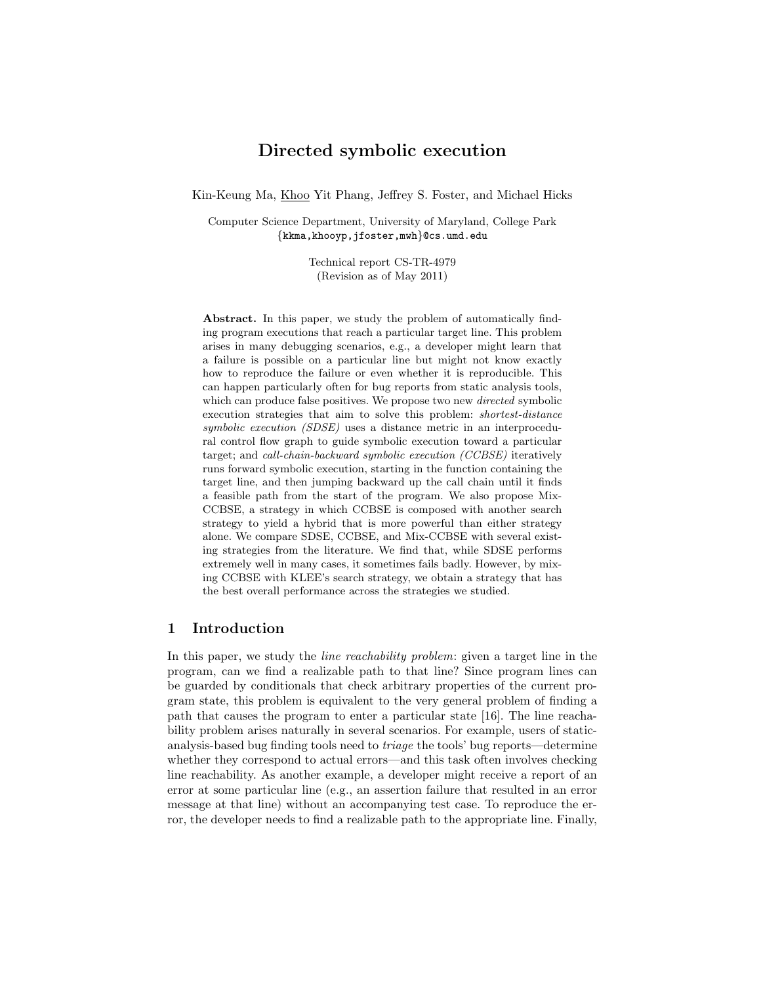# Directed symbolic execution

Kin-Keung Ma, Khoo Yit Phang, Jeffrey S. Foster, and Michael Hicks

Computer Science Department, University of Maryland, College Park {kkma,khooyp,jfoster,mwh}@cs.umd.edu

> Technical report CS-TR-4979 (Revision as of May 2011)

Abstract. In this paper, we study the problem of automatically finding program executions that reach a particular target line. This problem arises in many debugging scenarios, e.g., a developer might learn that a failure is possible on a particular line but might not know exactly how to reproduce the failure or even whether it is reproducible. This can happen particularly often for bug reports from static analysis tools, which can produce false positives. We propose two new *directed* symbolic execution strategies that aim to solve this problem: shortest-distance symbolic execution (SDSE) uses a distance metric in an interprocedural control flow graph to guide symbolic execution toward a particular target; and call-chain-backward symbolic execution (CCBSE) iteratively runs forward symbolic execution, starting in the function containing the target line, and then jumping backward up the call chain until it finds a feasible path from the start of the program. We also propose Mix-CCBSE, a strategy in which CCBSE is composed with another search strategy to yield a hybrid that is more powerful than either strategy alone. We compare SDSE, CCBSE, and Mix-CCBSE with several existing strategies from the literature. We find that, while SDSE performs extremely well in many cases, it sometimes fails badly. However, by mixing CCBSE with KLEE's search strategy, we obtain a strategy that has the best overall performance across the strategies we studied.

## 1 Introduction

In this paper, we study the *line reachability problem:* given a target line in the program, can we find a realizable path to that line? Since program lines can be guarded by conditionals that check arbitrary properties of the current program state, this problem is equivalent to the very general problem of finding a path that causes the program to enter a particular state [16]. The line reachability problem arises naturally in several scenarios. For example, users of staticanalysis-based bug finding tools need to triage the tools' bug reports—determine whether they correspond to actual errors—and this task often involves checking line reachability. As another example, a developer might receive a report of an error at some particular line (e.g., an assertion failure that resulted in an error message at that line) without an accompanying test case. To reproduce the error, the developer needs to find a realizable path to the appropriate line. Finally,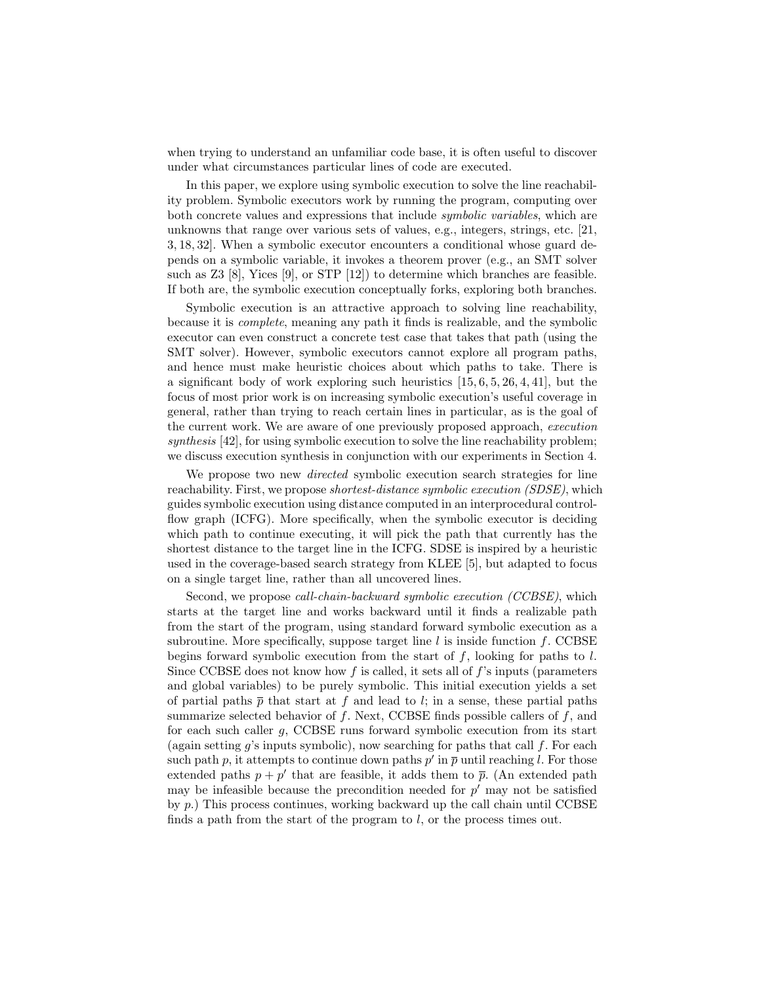when trying to understand an unfamiliar code base, it is often useful to discover under what circumstances particular lines of code are executed.

In this paper, we explore using symbolic execution to solve the line reachability problem. Symbolic executors work by running the program, computing over both concrete values and expressions that include symbolic variables, which are unknowns that range over various sets of values, e.g., integers, strings, etc. [21, 3, 18, 32]. When a symbolic executor encounters a conditional whose guard depends on a symbolic variable, it invokes a theorem prover (e.g., an SMT solver such as Z3 [8], Yices [9], or STP [12]) to determine which branches are feasible. If both are, the symbolic execution conceptually forks, exploring both branches.

Symbolic execution is an attractive approach to solving line reachability, because it is complete, meaning any path it finds is realizable, and the symbolic executor can even construct a concrete test case that takes that path (using the SMT solver). However, symbolic executors cannot explore all program paths, and hence must make heuristic choices about which paths to take. There is a significant body of work exploring such heuristics [15, 6, 5, 26, 4, 41], but the focus of most prior work is on increasing symbolic execution's useful coverage in general, rather than trying to reach certain lines in particular, as is the goal of the current work. We are aware of one previously proposed approach, execution synthesis [42], for using symbolic execution to solve the line reachability problem; we discuss execution synthesis in conjunction with our experiments in Section 4.

We propose two new *directed* symbolic execution search strategies for line reachability. First, we propose *shortest-distance symbolic execution (SDSE)*, which guides symbolic execution using distance computed in an interprocedural controlflow graph (ICFG). More specifically, when the symbolic executor is deciding which path to continue executing, it will pick the path that currently has the shortest distance to the target line in the ICFG. SDSE is inspired by a heuristic used in the coverage-based search strategy from KLEE [5], but adapted to focus on a single target line, rather than all uncovered lines.

Second, we propose call-chain-backward symbolic execution (CCBSE), which starts at the target line and works backward until it finds a realizable path from the start of the program, using standard forward symbolic execution as a subroutine. More specifically, suppose target line  $l$  is inside function  $f$ . CCBSE begins forward symbolic execution from the start of  $f$ , looking for paths to  $l$ . Since CCBSE does not know how f is called, it sets all of  $f$ 's inputs (parameters and global variables) to be purely symbolic. This initial execution yields a set of partial paths  $\bar{p}$  that start at f and lead to l; in a sense, these partial paths summarize selected behavior of  $f$ . Next, CCBSE finds possible callers of  $f$ , and for each such caller  $g$ , CCBSE runs forward symbolic execution from its start (again setting  $g$ 's inputs symbolic), now searching for paths that call  $f$ . For each such path p, it attempts to continue down paths  $p'$  in  $\overline{p}$  until reaching l. For those extended paths  $p + p'$  that are feasible, it adds them to  $\bar{p}$ . (An extended path may be infeasible because the precondition needed for  $p'$  may not be satisfied by p.) This process continues, working backward up the call chain until CCBSE finds a path from the start of the program to  $l$ , or the process times out.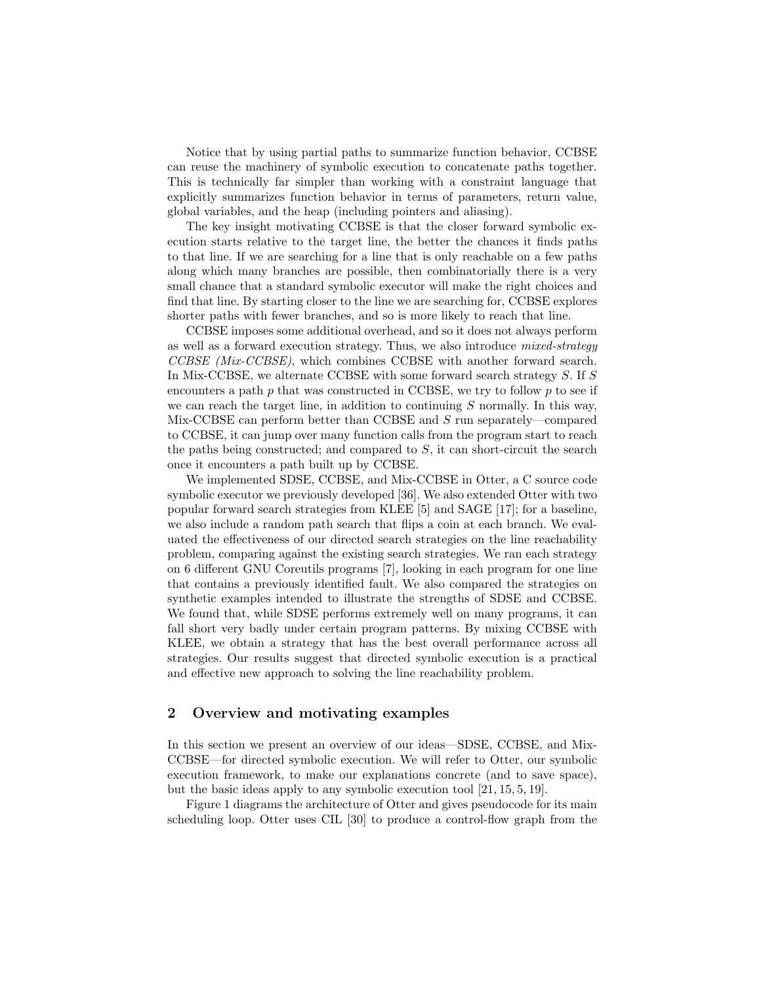Notice that by using partial paths to summarize function behavior, CCBSE can reuse the machinery of symbolic execution to concatenate paths together. This is technically far simpler than working with a constraint language that explicitly summarizes function behavior in terms of parameters, return value, global variables, and the heap (including pointers and aliasing).

The key insight motivating CCBSE is that the closer forward symbolic execution starts relative to the target line, the better the chances it finds paths to that line. If we are searching for a line that is only reachable on a few paths along which many branches are possible, then combinatorially there is a very small chance that a standard symbolic executor will make the right choices and find that line. By starting closer to the line we are searching for, CCBSE explores shorter paths with fewer branches, and so is more likely to reach that line.

CCBSE imposes some additional overhead, and so it does not always perform as well as a forward execution strategy. Thus, we also introduce mixed-strategy CCBSE (Mix-CCBSE), which combines CCBSE with another forward search. In Mix-CCBSE, we alternate CCBSE with some forward search strategy S. If S encounters a path  $p$  that was constructed in CCBSE, we try to follow  $p$  to see if we can reach the target line, in addition to continuing  $S$  normally. In this way, Mix-CCBSE can perform better than CCBSE and S run separately—compared to CCBSE, it can jump over many function calls from the program start to reach the paths being constructed; and compared to  $S$ , it can short-circuit the search once it encounters a path built up by CCBSE.

We implemented SDSE, CCBSE, and Mix-CCBSE in Otter, a C source code symbolic executor we previously developed [36]. We also extended Otter with two popular forward search strategies from KLEE [5] and SAGE [17]; for a baseline, we also include a random path search that flips a coin at each branch. We evaluated the effectiveness of our directed search strategies on the line reachability problem, comparing against the existing search strategies. We ran each strategy on 6 different GNU Coreutils programs [7], looking in each program for one line that contains a previously identified fault. We also compared the strategies on synthetic examples intended to illustrate the strengths of SDSE and CCBSE. We found that, while SDSE performs extremely well on many programs, it can fall short very badly under certain program patterns. By mixing CCBSE with KLEE, we obtain a strategy that has the best overall performance across all strategies. Our results suggest that directed symbolic execution is a practical and effective new approach to solving the line reachability problem.

## 2 Overview and motivating examples

In this section we present an overview of our ideas—SDSE, CCBSE, and Mix-CCBSE—for directed symbolic execution. We will refer to Otter, our symbolic execution framework, to make our explanations concrete (and to save space), but the basic ideas apply to any symbolic execution tool [21, 15, 5, 19].

Figure 1 diagrams the architecture of Otter and gives pseudocode for its main scheduling loop. Otter uses CIL [30] to produce a control-flow graph from the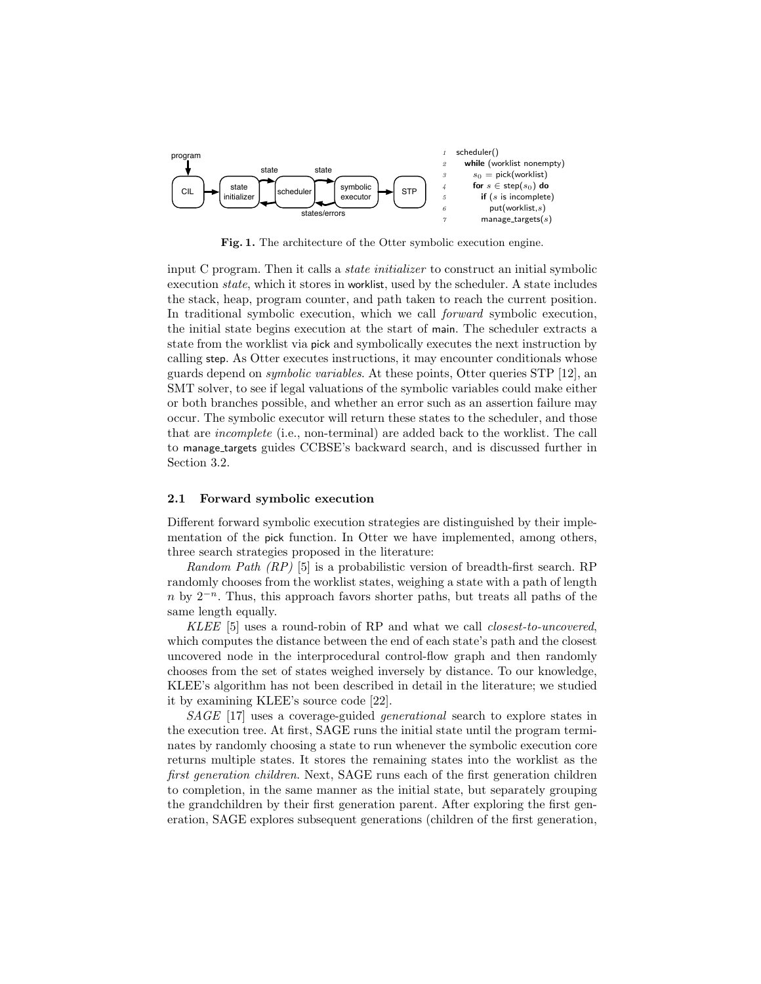

Fig. 1. The architecture of the Otter symbolic execution engine.

input C program. Then it calls a *state initializer* to construct an initial symbolic execution state, which it stores in worklist, used by the scheduler. A state includes the stack, heap, program counter, and path taken to reach the current position. In traditional symbolic execution, which we call forward symbolic execution, the initial state begins execution at the start of main. The scheduler extracts a state from the worklist via pick and symbolically executes the next instruction by calling step. As Otter executes instructions, it may encounter conditionals whose guards depend on symbolic variables. At these points, Otter queries STP [12], an SMT solver, to see if legal valuations of the symbolic variables could make either or both branches possible, and whether an error such as an assertion failure may occur. The symbolic executor will return these states to the scheduler, and those that are incomplete (i.e., non-terminal) are added back to the worklist. The call to manage targets guides CCBSE's backward search, and is discussed further in Section 3.2.

### 2.1 Forward symbolic execution

Different forward symbolic execution strategies are distinguished by their implementation of the pick function. In Otter we have implemented, among others, three search strategies proposed in the literature:

Random Path  $(RP)$  [5] is a probabilistic version of breadth-first search. RP randomly chooses from the worklist states, weighing a state with a path of length n by  $2^{-n}$ . Thus, this approach favors shorter paths, but treats all paths of the same length equally.

KLEE [5] uses a round-robin of RP and what we call *closest-to-uncovered*, which computes the distance between the end of each state's path and the closest uncovered node in the interprocedural control-flow graph and then randomly chooses from the set of states weighed inversely by distance. To our knowledge, KLEE's algorithm has not been described in detail in the literature; we studied it by examining KLEE's source code [22].

SAGE [17] uses a coverage-guided generational search to explore states in the execution tree. At first, SAGE runs the initial state until the program terminates by randomly choosing a state to run whenever the symbolic execution core returns multiple states. It stores the remaining states into the worklist as the first generation children. Next, SAGE runs each of the first generation children to completion, in the same manner as the initial state, but separately grouping the grandchildren by their first generation parent. After exploring the first generation, SAGE explores subsequent generations (children of the first generation,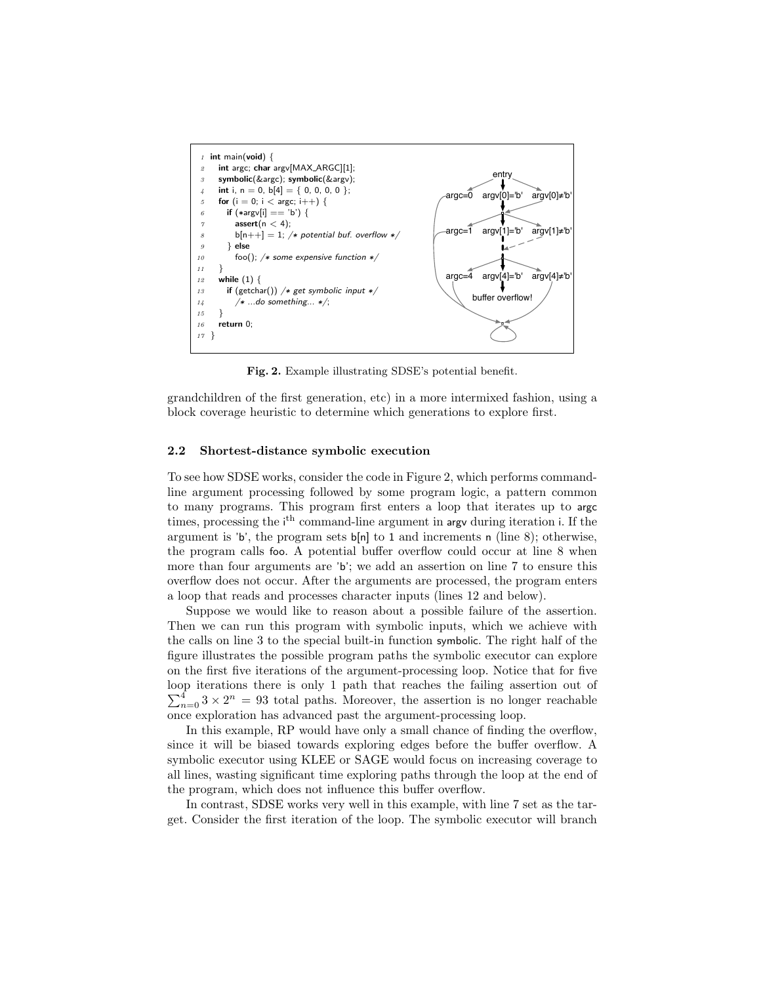

Fig. 2. Example illustrating SDSE's potential benefit.

grandchildren of the first generation, etc) in a more intermixed fashion, using a block coverage heuristic to determine which generations to explore first.

### 2.2 Shortest-distance symbolic execution

To see how SDSE works, consider the code in Figure 2, which performs commandline argument processing followed by some program logic, a pattern common to many programs. This program first enters a loop that iterates up to argc times, processing the i<sup>th</sup> command-line argument in argv during iteration i. If the argument is 'b', the program sets  $b[n]$  to 1 and increments n (line 8); otherwise, the program calls foo. A potential buffer overflow could occur at line 8 when more than four arguments are 'b'; we add an assertion on line 7 to ensure this overflow does not occur. After the arguments are processed, the program enters a loop that reads and processes character inputs (lines 12 and below).

Suppose we would like to reason about a possible failure of the assertion. Then we can run this program with symbolic inputs, which we achieve with the calls on line 3 to the special built-in function symbolic. The right half of the figure illustrates the possible program paths the symbolic executor can explore on the first five iterations of the argument-processing loop. Notice that for five loop iterations there is only 1 path that reaches the failing assertion out of  $\sum_{n=0}^{4} 3 \times 2^{n} = 93$  total paths. Moreover, the assertion is no longer reachable once exploration has advanced past the argument-processing loop.

In this example, RP would have only a small chance of finding the overflow, since it will be biased towards exploring edges before the buffer overflow. A symbolic executor using KLEE or SAGE would focus on increasing coverage to all lines, wasting significant time exploring paths through the loop at the end of the program, which does not influence this buffer overflow.

In contrast, SDSE works very well in this example, with line 7 set as the target. Consider the first iteration of the loop. The symbolic executor will branch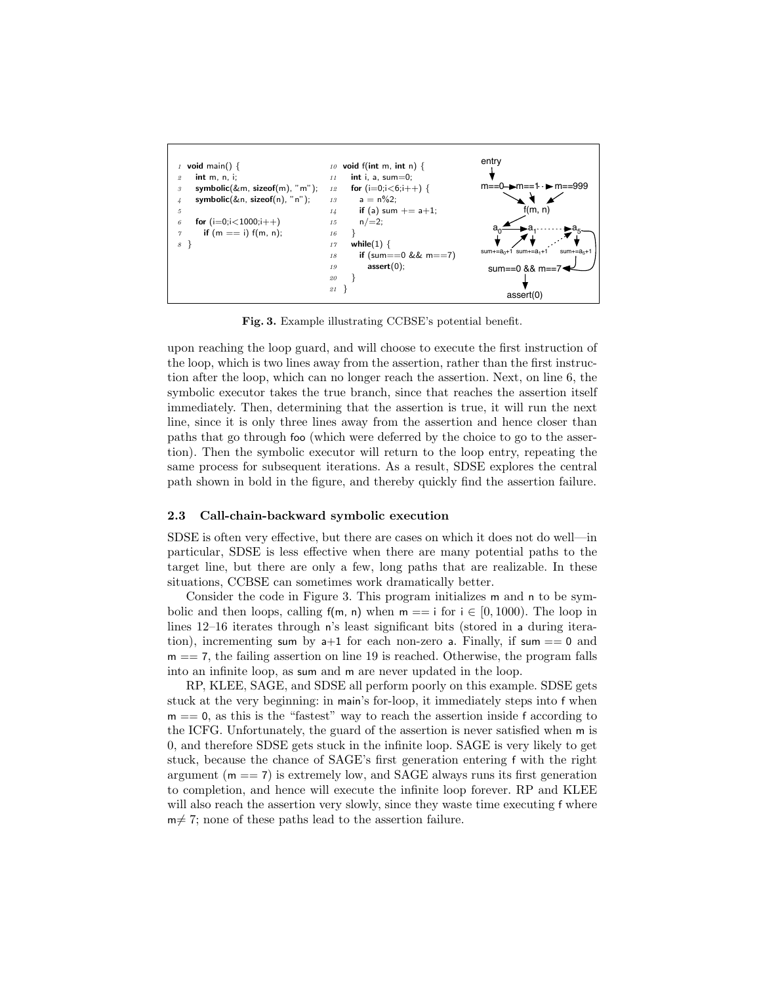

Fig. 3. Example illustrating CCBSE's potential benefit.

upon reaching the loop guard, and will choose to execute the first instruction of the loop, which is two lines away from the assertion, rather than the first instruction after the loop, which can no longer reach the assertion. Next, on line 6, the symbolic executor takes the true branch, since that reaches the assertion itself immediately. Then, determining that the assertion is true, it will run the next line, since it is only three lines away from the assertion and hence closer than paths that go through foo (which were deferred by the choice to go to the assertion). Then the symbolic executor will return to the loop entry, repeating the same process for subsequent iterations. As a result, SDSE explores the central path shown in bold in the figure, and thereby quickly find the assertion failure.

### 2.3 Call-chain-backward symbolic execution

SDSE is often very effective, but there are cases on which it does not do well—in particular, SDSE is less effective when there are many potential paths to the target line, but there are only a few, long paths that are realizable. In these situations, CCBSE can sometimes work dramatically better.

Consider the code in Figure 3. This program initializes m and n to be symbolic and then loops, calling  $f(m, n)$  when  $m == i$  for  $i \in [0, 1000)$ . The loop in lines 12–16 iterates through n's least significant bits (stored in a during iteration), incrementing sum by  $a+1$  for each non-zero a. Finally, if sum  $== 0$  and  $m == 7$ , the failing assertion on line 19 is reached. Otherwise, the program falls into an infinite loop, as sum and m are never updated in the loop.

RP, KLEE, SAGE, and SDSE all perform poorly on this example. SDSE gets stuck at the very beginning: in main's for-loop, it immediately steps into f when  $m == 0$ , as this is the "fastest" way to reach the assertion inside f according to the ICFG. Unfortunately, the guard of the assertion is never satisfied when m is 0, and therefore SDSE gets stuck in the infinite loop. SAGE is very likely to get stuck, because the chance of SAGE's first generation entering f with the right argument  $(m == 7)$  is extremely low, and SAGE always runs its first generation to completion, and hence will execute the infinite loop forever. RP and KLEE will also reach the assertion very slowly, since they waste time executing f where  $m \neq 7$ ; none of these paths lead to the assertion failure.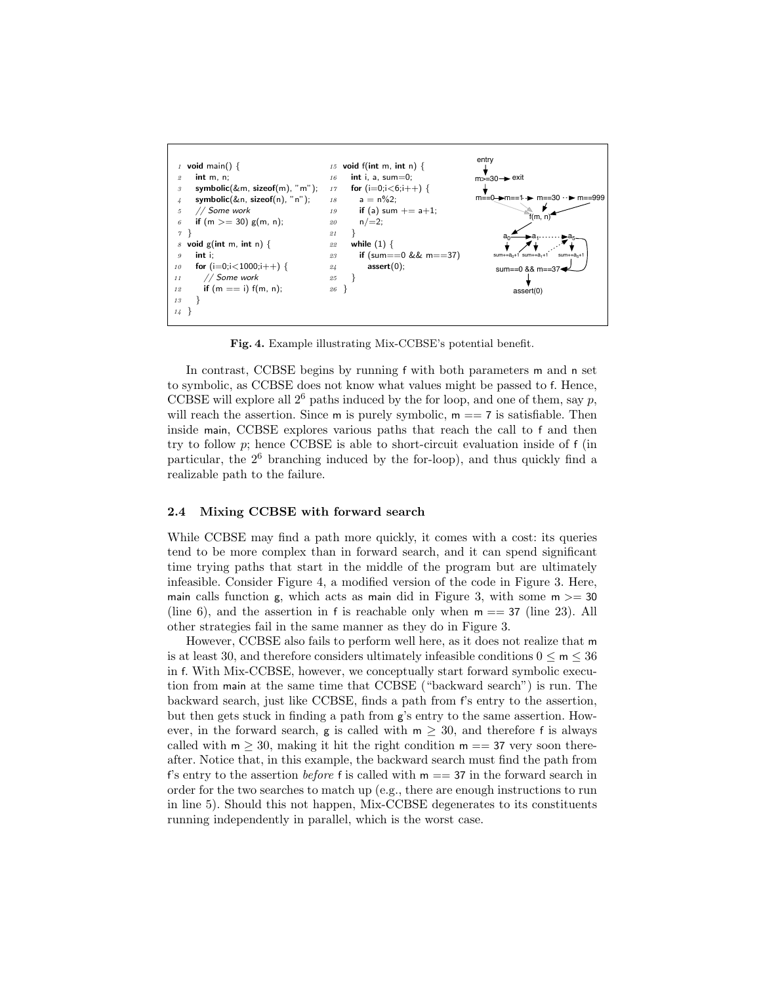

Fig. 4. Example illustrating Mix-CCBSE's potential benefit.

In contrast, CCBSE begins by running f with both parameters m and n set to symbolic, as CCBSE does not know what values might be passed to f. Hence, CCBSE will explore all  $2^6$  paths induced by the for loop, and one of them, say p, will reach the assertion. Since m is purely symbolic,  $m == 7$  is satisfiable. Then inside main, CCBSE explores various paths that reach the call to f and then try to follow  $p$ ; hence CCBSE is able to short-circuit evaluation inside of  $f$  (in particular, the  $2<sup>6</sup>$  branching induced by the for-loop), and thus quickly find a realizable path to the failure.

### 2.4 Mixing CCBSE with forward search

While CCBSE may find a path more quickly, it comes with a cost: its queries tend to be more complex than in forward search, and it can spend significant time trying paths that start in the middle of the program but are ultimately infeasible. Consider Figure 4, a modified version of the code in Figure 3. Here, main calls function g, which acts as main did in Figure 3, with some  $m \geq 30$ (line 6), and the assertion in f is reachable only when  $m = 37$  (line 23). All other strategies fail in the same manner as they do in Figure 3.

However, CCBSE also fails to perform well here, as it does not realize that m is at least 30, and therefore considers ultimately infeasible conditions  $0 \le m \le 36$ in f. With Mix-CCBSE, however, we conceptually start forward symbolic execution from main at the same time that CCBSE ("backward search") is run. The backward search, just like CCBSE, finds a path from f's entry to the assertion, but then gets stuck in finding a path from g's entry to the same assertion. However, in the forward search, g is called with  $m \geq 30$ , and therefore f is always called with  $m \geq 30$ , making it hit the right condition  $m == 37$  very soon thereafter. Notice that, in this example, the backward search must find the path from f's entry to the assertion *before* f is called with  $m = 37$  in the forward search in order for the two searches to match up (e.g., there are enough instructions to run in line 5). Should this not happen, Mix-CCBSE degenerates to its constituents running independently in parallel, which is the worst case.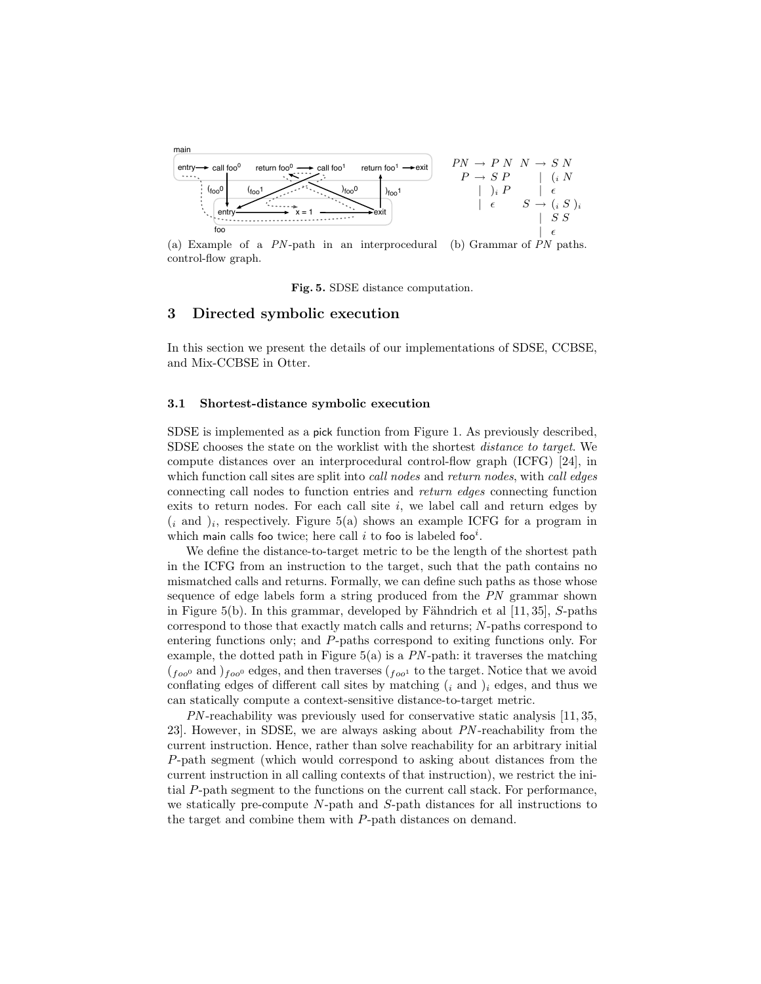

(a) Example of a PN -path in an interprocedural control-flow graph. (b) Grammar of PN paths.

Fig. 5. SDSE distance computation.

## 3 Directed symbolic execution

In this section we present the details of our implementations of SDSE, CCBSE, and Mix-CCBSE in Otter.

### 3.1 Shortest-distance symbolic execution

SDSE is implemented as a pick function from Figure 1. As previously described, SDSE chooses the state on the worklist with the shortest distance to target. We compute distances over an interprocedural control-flow graph (ICFG) [24], in which function call sites are split into *call nodes* and *return nodes*, with *call edges* connecting call nodes to function entries and return edges connecting function exits to return nodes. For each call site  $i$ , we label call and return edges by  $(i \text{ and } )_i$ , respectively. Figure 5(a) shows an example ICFG for a program in which main calls foo twice; here call i to foo is labeled foo<sup>i</sup>.

We define the distance-to-target metric to be the length of the shortest path in the ICFG from an instruction to the target, such that the path contains no mismatched calls and returns. Formally, we can define such paths as those whose sequence of edge labels form a string produced from the PN grammar shown in Figure 5(b). In this grammar, developed by Fähndrich et al  $[11, 35]$ , S-paths correspond to those that exactly match calls and returns; N-paths correspond to entering functions only; and P-paths correspond to exiting functions only. For example, the dotted path in Figure  $5(a)$  is a  $PN$ -path: it traverses the matching  $(f_{\rho o^0}$  and  $)_{f_{\rho o^0}}$  edges, and then traverses  $(f_{\rho o^1}$  to the target. Notice that we avoid conflating edges of different call sites by matching  $(i \text{ and } )_i$  edges, and thus we can statically compute a context-sensitive distance-to-target metric.

PN -reachability was previously used for conservative static analysis [11, 35, 23]. However, in SDSE, we are always asking about PN -reachability from the current instruction. Hence, rather than solve reachability for an arbitrary initial P-path segment (which would correspond to asking about distances from the current instruction in all calling contexts of that instruction), we restrict the initial P-path segment to the functions on the current call stack. For performance, we statically pre-compute N-path and S-path distances for all instructions to the target and combine them with P-path distances on demand.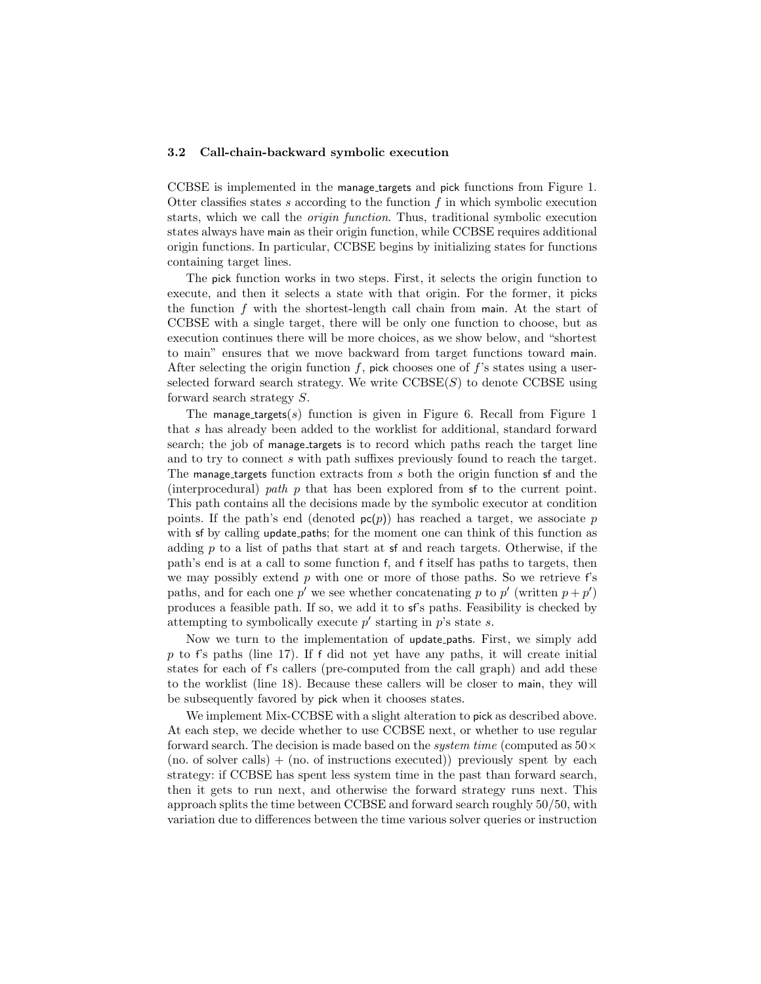### 3.2 Call-chain-backward symbolic execution

CCBSE is implemented in the manage targets and pick functions from Figure 1. Otter classifies states s according to the function  $f$  in which symbolic execution starts, which we call the origin function. Thus, traditional symbolic execution states always have main as their origin function, while CCBSE requires additional origin functions. In particular, CCBSE begins by initializing states for functions containing target lines.

The pick function works in two steps. First, it selects the origin function to execute, and then it selects a state with that origin. For the former, it picks the function  $f$  with the shortest-length call chain from main. At the start of CCBSE with a single target, there will be only one function to choose, but as execution continues there will be more choices, as we show below, and "shortest to main" ensures that we move backward from target functions toward main. After selecting the origin function  $f$ , pick chooses one of  $f$ 's states using a userselected forward search strategy. We write  $\mathrm{CCBSE}(S)$  to denote  $\mathrm{CCBSE}$  using forward search strategy S.

The manage\_targets(s) function is given in Figure 6. Recall from Figure 1 that s has already been added to the worklist for additional, standard forward search; the job of manage\_targets is to record which paths reach the target line and to try to connect s with path suffixes previously found to reach the target. The manage targets function extracts from s both the origin function sf and the (interprocedural) path p that has been explored from sf to the current point. This path contains all the decisions made by the symbolic executor at condition points. If the path's end (denoted  $p(p)$ ) has reached a target, we associate p with sf by calling update paths; for the moment one can think of this function as adding  $p$  to a list of paths that start at sf and reach targets. Otherwise, if the path's end is at a call to some function f, and f itself has paths to targets, then we may possibly extend  $p$  with one or more of those paths. So we retrieve  $f$ 's paths, and for each one p' we see whether concatenating p to p' (written  $p + p'$ ) produces a feasible path. If so, we add it to sf's paths. Feasibility is checked by attempting to symbolically execute  $p'$  starting in  $p'$ s state s.

Now we turn to the implementation of update paths. First, we simply add  $p$  to f's paths (line 17). If f did not yet have any paths, it will create initial states for each of f's callers (pre-computed from the call graph) and add these to the worklist (line 18). Because these callers will be closer to main, they will be subsequently favored by pick when it chooses states.

We implement Mix-CCBSE with a slight alteration to pick as described above. At each step, we decide whether to use CCBSE next, or whether to use regular forward search. The decision is made based on the *system time* (computed as  $50 \times$  $(p_0, p_1, p_2)$  (no. of instructions executed)) previously spent by each strategy: if CCBSE has spent less system time in the past than forward search, then it gets to run next, and otherwise the forward strategy runs next. This approach splits the time between CCBSE and forward search roughly 50/50, with variation due to differences between the time various solver queries or instruction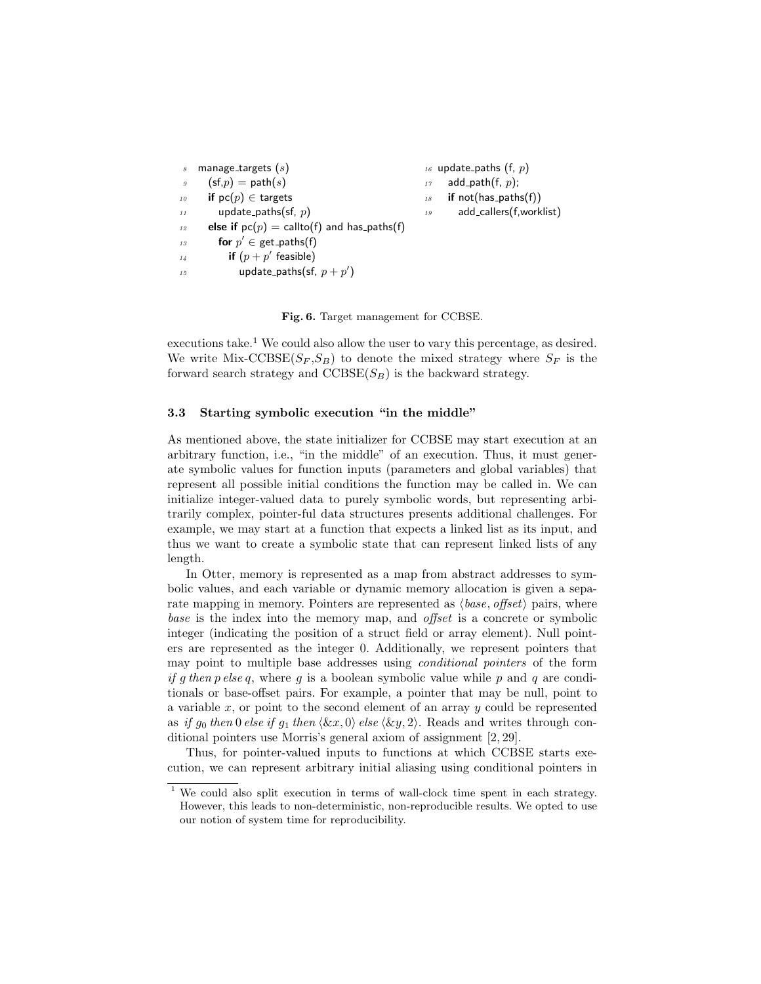```
manage_targets (s)(sf,p) = path(s)10 if pc(p) \in targets
11 update_paths(sf, p)
12 else if pc(p) = callto(f) and has paths(f)
13 for p' \in \text{get-paths}(f)\int_{14}^{14} if (p+p) feasible)
15 update_paths(sf, p + p')
                                                 16 update_paths (f, p)
                                                      add_path(f, p);
                                                  18 if not(has_paths(f))
                                                 19 add callers(f,worklist)
```
Fig. 6. Target management for CCBSE.

executions take.<sup>1</sup> We could also allow the user to vary this percentage, as desired. We write Mix-CCBSE( $S_F$ ,  $S_B$ ) to denote the mixed strategy where  $S_F$  is the forward search strategy and  $\text{CCBSE}(S_B)$  is the backward strategy.

### 3.3 Starting symbolic execution "in the middle"

As mentioned above, the state initializer for CCBSE may start execution at an arbitrary function, i.e., "in the middle" of an execution. Thus, it must generate symbolic values for function inputs (parameters and global variables) that represent all possible initial conditions the function may be called in. We can initialize integer-valued data to purely symbolic words, but representing arbitrarily complex, pointer-ful data structures presents additional challenges. For example, we may start at a function that expects a linked list as its input, and thus we want to create a symbolic state that can represent linked lists of any length.

In Otter, memory is represented as a map from abstract addresses to symbolic values, and each variable or dynamic memory allocation is given a separate mapping in memory. Pointers are represented as  $\langle base, offset \rangle$  pairs, where base is the index into the memory map, and *offset* is a concrete or symbolic integer (indicating the position of a struct field or array element). Null pointers are represented as the integer 0. Additionally, we represent pointers that may point to multiple base addresses using conditional pointers of the form if g then p else q, where q is a boolean symbolic value while p and q are conditionals or base-offset pairs. For example, a pointer that may be null, point to a variable  $x$ , or point to the second element of an array  $y$  could be represented as if g<sub>0</sub> then 0 else if g<sub>1</sub> then  $\langle \&x, 0 \rangle$  else  $\langle \&y, 2 \rangle$ . Reads and writes through conditional pointers use Morris's general axiom of assignment [2, 29].

Thus, for pointer-valued inputs to functions at which CCBSE starts execution, we can represent arbitrary initial aliasing using conditional pointers in

<sup>&</sup>lt;sup>1</sup> We could also split execution in terms of wall-clock time spent in each strategy. However, this leads to non-deterministic, non-reproducible results. We opted to use our notion of system time for reproducibility.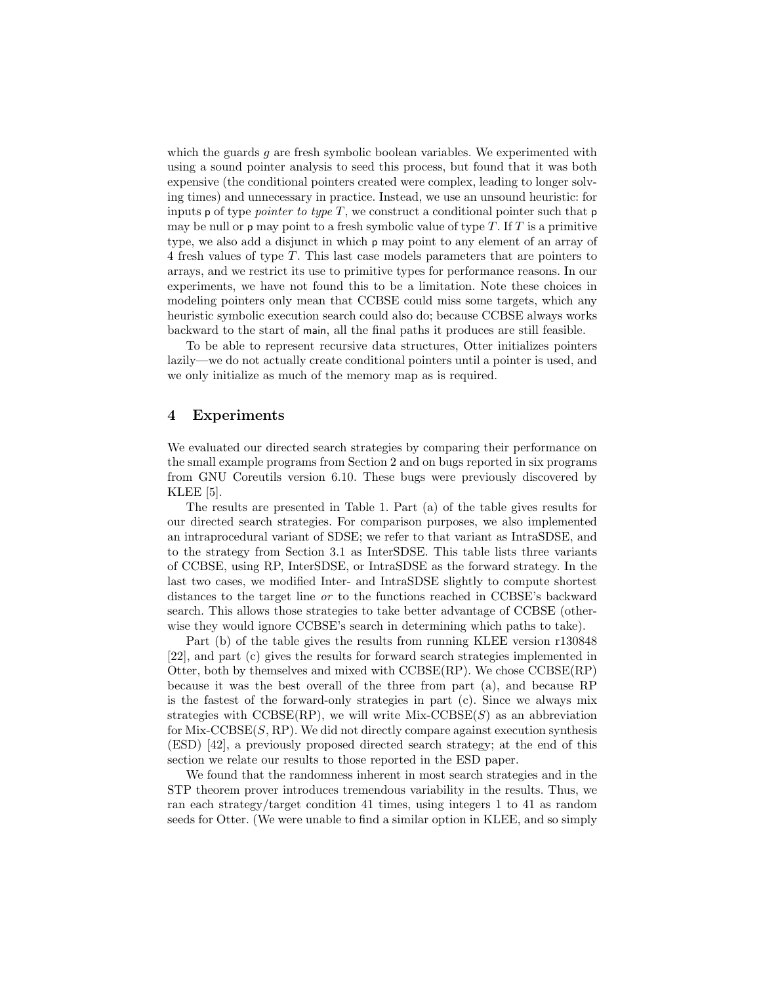which the guards g are fresh symbolic boolean variables. We experimented with using a sound pointer analysis to seed this process, but found that it was both expensive (the conditional pointers created were complex, leading to longer solving times) and unnecessary in practice. Instead, we use an unsound heuristic: for inputs p of type *pointer to type T*, we construct a conditional pointer such that  $p$ may be null or  $p$  may point to a fresh symbolic value of type  $T$ . If  $T$  is a primitive type, we also add a disjunct in which p may point to any element of an array of 4 fresh values of type T. This last case models parameters that are pointers to arrays, and we restrict its use to primitive types for performance reasons. In our experiments, we have not found this to be a limitation. Note these choices in modeling pointers only mean that CCBSE could miss some targets, which any heuristic symbolic execution search could also do; because CCBSE always works backward to the start of main, all the final paths it produces are still feasible.

To be able to represent recursive data structures, Otter initializes pointers lazily—we do not actually create conditional pointers until a pointer is used, and we only initialize as much of the memory map as is required.

## 4 Experiments

We evaluated our directed search strategies by comparing their performance on the small example programs from Section 2 and on bugs reported in six programs from GNU Coreutils version 6.10. These bugs were previously discovered by KLEE [5].

The results are presented in Table 1. Part (a) of the table gives results for our directed search strategies. For comparison purposes, we also implemented an intraprocedural variant of SDSE; we refer to that variant as IntraSDSE, and to the strategy from Section 3.1 as InterSDSE. This table lists three variants of CCBSE, using RP, InterSDSE, or IntraSDSE as the forward strategy. In the last two cases, we modified Inter- and IntraSDSE slightly to compute shortest distances to the target line or to the functions reached in CCBSE's backward search. This allows those strategies to take better advantage of CCBSE (otherwise they would ignore CCBSE's search in determining which paths to take).

Part (b) of the table gives the results from running KLEE version r130848 [22], and part (c) gives the results for forward search strategies implemented in Otter, both by themselves and mixed with CCBSE(RP). We chose CCBSE(RP) because it was the best overall of the three from part (a), and because RP is the fastest of the forward-only strategies in part (c). Since we always mix strategies with  $\text{CCBSE}(RP)$ , we will write Mix- $\text{CCBSE}(S)$  as an abbreviation for  $Mix-CCBSE(S, RP)$ . We did not directly compare against execution synthesis (ESD) [42], a previously proposed directed search strategy; at the end of this section we relate our results to those reported in the ESD paper.

We found that the randomness inherent in most search strategies and in the STP theorem prover introduces tremendous variability in the results. Thus, we ran each strategy/target condition 41 times, using integers 1 to 41 as random seeds for Otter. (We were unable to find a similar option in KLEE, and so simply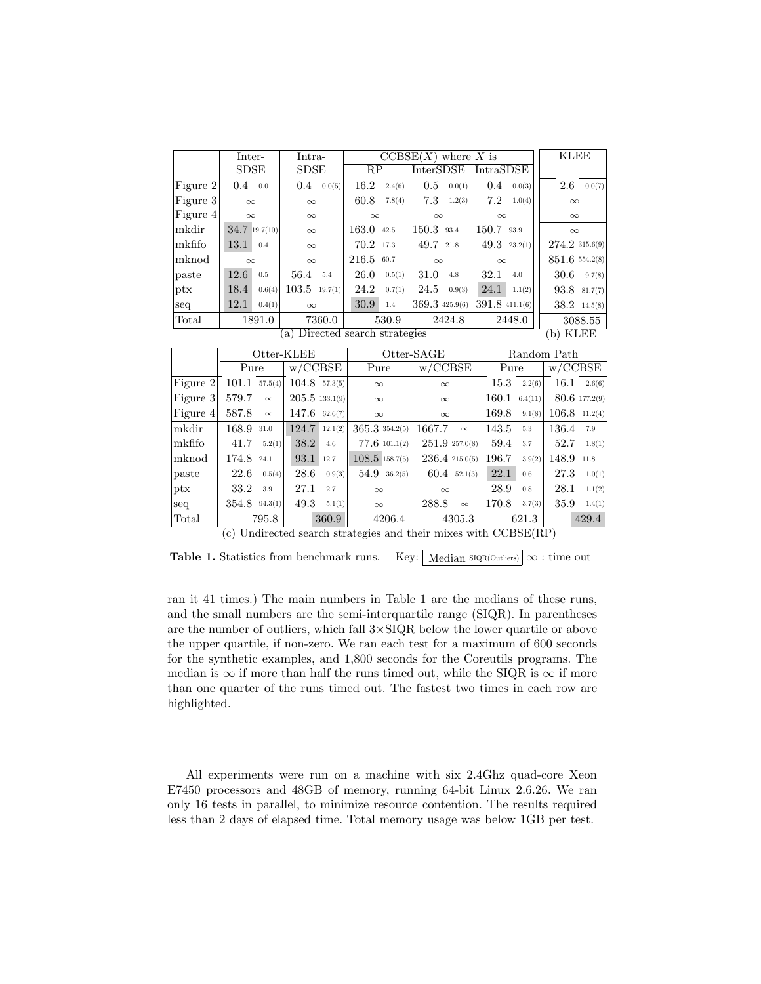|                                              | Inter-        |          | Intra-          |         | $\overline{\text{CCBSE}(X)}$ where X is |                  |                  |                      |                |                  | <b>KLEE</b>          |                |
|----------------------------------------------|---------------|----------|-----------------|---------|-----------------------------------------|------------------|------------------|----------------------|----------------|------------------|----------------------|----------------|
|                                              | ${\rm SDSE}$  |          | ${\rm SDSE}$    |         | RP                                      |                  | <b>InterSDSE</b> |                      | IntraSDSE      |                  |                      |                |
| Figure 2                                     | 0.4           | 0.0      | 0.4             | 0.0(5)  | 16.2                                    | 2.4(6)           | 0.5              | 0.0(1)               | 0.4            | 0.0(3)           | 2.6                  | 0.0(7)         |
| Figure 3                                     | $\infty$      |          | $\infty$        |         | 60.8                                    | 7.8(4)           | 7.3              | 1.2(3)               | 7.2            | 1.0(4)           | $\infty$             |                |
| Figure 4                                     | $\infty$      |          | $\infty$        |         | $\infty$                                |                  | $\infty$         |                      | $\infty$       |                  | $\infty$             |                |
| mkdir                                        | 34.7 19.7(10) |          | $\infty$        |         | 163.0                                   | 42.5             | $150.3$ 93.4     |                      | 150.7 93.9     |                  | $\infty$             |                |
| mkfifo                                       | 13.1          | 0.4      | $\infty$        |         | 70.2                                    | 17.3             | 49.7             | 21.8                 |                | $49.3$ $23.2(1)$ | 274.2 315.6(9)       |                |
| $m$ knod                                     | $\infty$      |          | $\infty$        |         | 216.5<br>60.7<br>$\infty$               |                  | $\infty$         |                      | 851.6 554.2(8) |                  |                      |                |
| paste                                        | 12.6          | 0.5      | 56.4            | 5.4     | 26.0                                    | 0.5(1)           | 31.0             | 4.8                  | 32.1           | 4.0              | 30.6                 | 9.7(8)         |
| $_{\rm{ptx}}$                                | 18.4          | 0.6(4)   | 103.5           | 19.7(1) | 24.2                                    | 0.7(1)           | 24.5             | 0.9(3)               | 24.1           | 1.1(2)           | 93.8                 | 81.7(7)        |
| seq                                          | 12.1          | 0.4(1)   | $\infty$        |         | 30.9                                    | 1.4              | 369.3 425.9(6)   |                      | 391.8 411.1(6) |                  |                      | $38.2$ 14.5(8) |
| Total                                        | 1891.0        |          | 7360.0          |         |                                         | 530.9<br>2424.8  |                  |                      | 2448.0         |                  | 3088.55              |                |
| (a) Directed search strategies<br>$(b)$ KLEE |               |          |                 |         |                                         |                  |                  |                      |                |                  |                      |                |
|                                              |               |          |                 |         |                                         |                  |                  |                      |                |                  |                      |                |
|                                              |               |          | Otter-KLEE      |         |                                         |                  | Otter-SAGE       |                      |                |                  | Random Path          |                |
|                                              | Pure          |          | w/CCBSE         |         |                                         | Pure             |                  | $\overline{w/CCBSE}$ |                | Pure             | $\overline{w/CCBSE}$ |                |
| Figure 2                                     | 101.1         | 57.5(4)  | $104.8$ 57.3(5) |         |                                         | $\infty$         |                  | $\infty$             | 15.3           | 2.2(6)           | 16.1                 | 2.6(6)         |
| Figure 3                                     | 579.7         | $\infty$ | 205.5133.1(9)   |         |                                         | $\infty$         |                  | $\infty$             | 160.1          | 6.4(11)          |                      | 80.6 177.2(9)  |
| Figure 4                                     | 587.8         | $\infty$ | $147.6$ 62.6(7) |         |                                         | $\infty$         |                  | $\infty$             | 169.8          | 9.1(8)           | 106.8                | 11.2(4)        |
| mkdir                                        | 168.9         | 31.0     | 124.7           | 12.1(2) |                                         | 365.3 354.2(5)   | 1667.7           | $\infty$             | 143.5          | 5.3              | 136.4                | 7.9            |
| mkfifo                                       | 41.7          | 5.2(1)   | 38.2            | 4.6     |                                         | 77.6 101.1(2)    |                  | 251.9257.0(8)        | 59.4           | 3.7              | 52.7                 | 1.8(1)         |
| mknod                                        | 174.8         | 24.1     | 93.1            | 12.7    |                                         | $108.5$ 158.7(5) |                  | 236.4215.0(5)        | 196.7          | 3.9(2)           | 148.9                | 11.8           |
| paste                                        | 22.6          | 0.5(4)   | 28.6            | 0.9(3)  |                                         | $54.9$ 36.2(5)   |                  | $60.4$ $52.1(3)$     | 22.1           | 0.6              | 27.3                 | 1.0(1)         |
| ptx                                          | 33.2          | 3.9      | 27.1            | 2.7     |                                         | $\infty$         |                  | $\infty$             | 28.9           | 0.8              | 28.1                 | 1.1(2)         |
| seq                                          | 354.8         | 94.3(1)  | 49.3            | 5.1(1)  |                                         | $\infty$         | 288.8            | $\infty$             | 170.8          | 3.7(3)           | 35.9                 | 1.4(1)         |
| $_{\rm Total}$                               |               | 795.8    |                 | 360.9   |                                         | 4206.4           |                  | 4305.3               |                | 621.3            |                      | 429.4          |

Table 1. Statistics from benchmark runs. Key: Median  $\text{SIOR}(\text{Outliers}) \propto :$  time out

ran it 41 times.) The main numbers in Table 1 are the medians of these runs, and the small numbers are the semi-interquartile range (SIQR). In parentheses are the number of outliers, which fall  $3 \times$  SIQR below the lower quartile or above the upper quartile, if non-zero. We ran each test for a maximum of 600 seconds for the synthetic examples, and 1,800 seconds for the Coreutils programs. The median is  $\infty$  if more than half the runs timed out, while the SIQR is  $\infty$  if more than one quarter of the runs timed out. The fastest two times in each row are highlighted.

All experiments were run on a machine with six 2.4Ghz quad-core Xeon E7450 processors and 48GB of memory, running 64-bit Linux 2.6.26. We ran only 16 tests in parallel, to minimize resource contention. The results required less than 2 days of elapsed time. Total memory usage was below 1GB per test.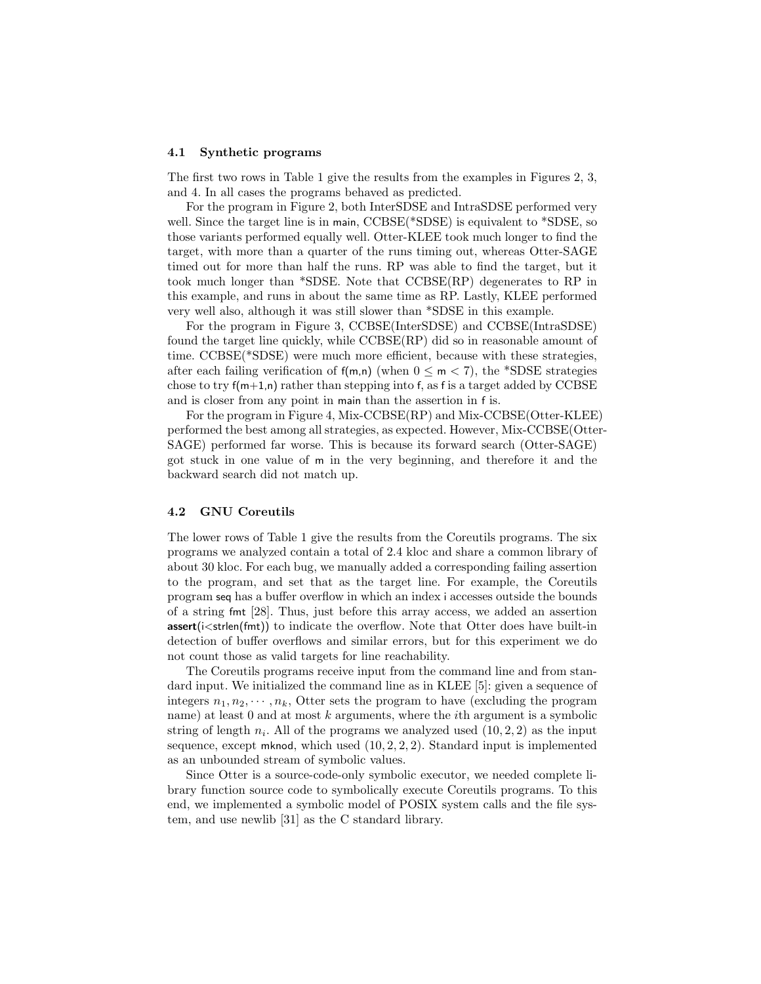#### 4.1 Synthetic programs

The first two rows in Table 1 give the results from the examples in Figures 2, 3, and 4. In all cases the programs behaved as predicted.

For the program in Figure 2, both InterSDSE and IntraSDSE performed very well. Since the target line is in main, CCBSE(\*SDSE) is equivalent to \*SDSE, so those variants performed equally well. Otter-KLEE took much longer to find the target, with more than a quarter of the runs timing out, whereas Otter-SAGE timed out for more than half the runs. RP was able to find the target, but it took much longer than \*SDSE. Note that CCBSE(RP) degenerates to RP in this example, and runs in about the same time as RP. Lastly, KLEE performed very well also, although it was still slower than \*SDSE in this example.

For the program in Figure 3, CCBSE(InterSDSE) and CCBSE(IntraSDSE) found the target line quickly, while CCBSE(RP) did so in reasonable amount of time. CCBSE(\*SDSE) were much more efficient, because with these strategies, after each failing verification of  $f(m,n)$  (when  $0 \le m \le 7$ ), the \*SDSE strategies chose to try  $f(m+1,n)$  rather than stepping into f, as f is a target added by CCBSE and is closer from any point in main than the assertion in f is.

For the program in Figure 4, Mix-CCBSE(RP) and Mix-CCBSE(Otter-KLEE) performed the best among all strategies, as expected. However, Mix-CCBSE(Otter-SAGE) performed far worse. This is because its forward search (Otter-SAGE) got stuck in one value of m in the very beginning, and therefore it and the backward search did not match up.

### 4.2 GNU Coreutils

The lower rows of Table 1 give the results from the Coreutils programs. The six programs we analyzed contain a total of 2.4 kloc and share a common library of about 30 kloc. For each bug, we manually added a corresponding failing assertion to the program, and set that as the target line. For example, the Coreutils program seq has a buffer overflow in which an index i accesses outside the bounds of a string fmt [28]. Thus, just before this array access, we added an assertion  $assert(i < strlen(fmt))$  to indicate the overflow. Note that Otter does have built-in detection of buffer overflows and similar errors, but for this experiment we do not count those as valid targets for line reachability.

The Coreutils programs receive input from the command line and from standard input. We initialized the command line as in KLEE [5]: given a sequence of integers  $n_1, n_2, \dots, n_k$ , Otter sets the program to have (excluding the program name) at least  $0$  and at most  $k$  arguments, where the *i*th argument is a symbolic string of length  $n_i$ . All of the programs we analyzed used  $(10, 2, 2)$  as the input sequence, except mknod, which used (10, 2, 2, 2). Standard input is implemented as an unbounded stream of symbolic values.

Since Otter is a source-code-only symbolic executor, we needed complete library function source code to symbolically execute Coreutils programs. To this end, we implemented a symbolic model of POSIX system calls and the file system, and use newlib [31] as the C standard library.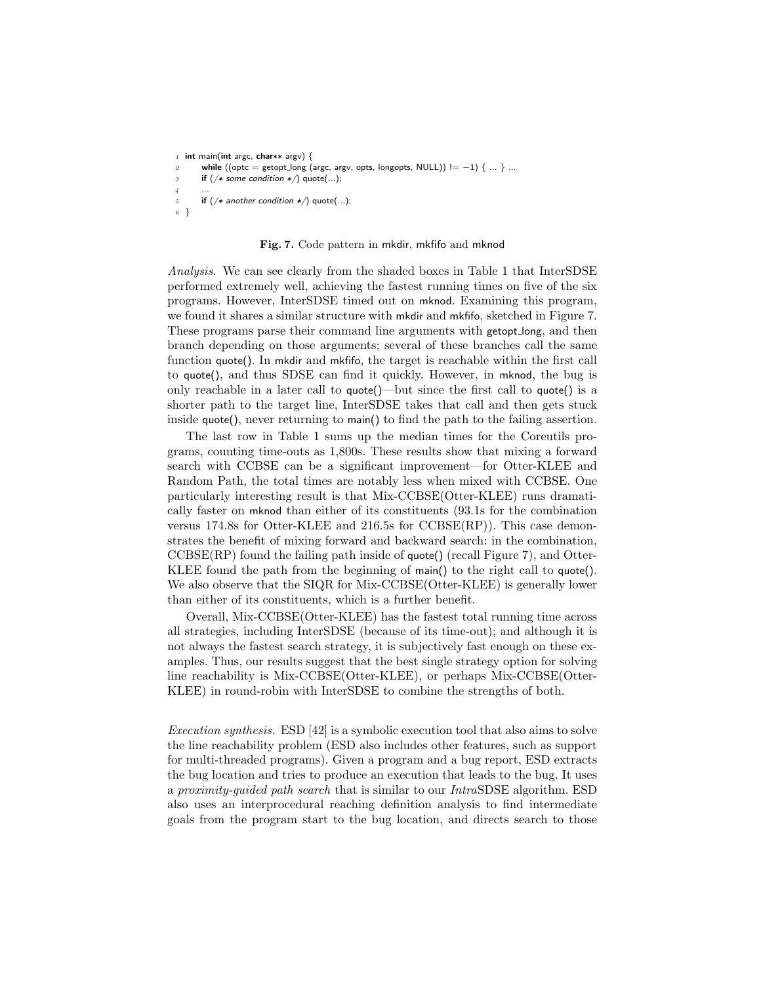```
1 int main(int argc, char∗∗ argv) {
2 while ((\text{optc} = \text{getopt\_long}(\text{args}, \text{args}, \text{obs}, \text{longopts}, \text{NULL})) := -1) \{ ... \} ...if (/* some condition */) quote(...);
\overline{A}5 if (/* another condition */) quote(...);
6 }
```
#### Fig. 7. Code pattern in mkdir, mkfifo and mknod

Analysis. We can see clearly from the shaded boxes in Table 1 that InterSDSE performed extremely well, achieving the fastest running times on five of the six programs. However, InterSDSE timed out on mknod. Examining this program, we found it shares a similar structure with mkdir and mkfifo, sketched in Figure 7. These programs parse their command line arguments with getopt long, and then branch depending on those arguments; several of these branches call the same function quote(). In mkdir and mkfifo, the target is reachable within the first call to quote(), and thus SDSE can find it quickly. However, in mknod, the bug is only reachable in a later call to quote()—but since the first call to quote() is a shorter path to the target line, InterSDSE takes that call and then gets stuck inside quote(), never returning to main() to find the path to the failing assertion.

The last row in Table 1 sums up the median times for the Coreutils programs, counting time-outs as 1,800s. These results show that mixing a forward search with CCBSE can be a significant improvement—for Otter-KLEE and Random Path, the total times are notably less when mixed with CCBSE. One particularly interesting result is that Mix-CCBSE(Otter-KLEE) runs dramatically faster on mknod than either of its constituents (93.1s for the combination versus 174.8s for Otter-KLEE and 216.5s for CCBSE(RP)). This case demonstrates the benefit of mixing forward and backward search: in the combination, CCBSE(RP) found the failing path inside of quote() (recall Figure 7), and Otter-KLEE found the path from the beginning of main() to the right call to quote(). We also observe that the SIQR for Mix-CCBSE(Otter-KLEE) is generally lower than either of its constituents, which is a further benefit.

Overall, Mix-CCBSE(Otter-KLEE) has the fastest total running time across all strategies, including InterSDSE (because of its time-out); and although it is not always the fastest search strategy, it is subjectively fast enough on these examples. Thus, our results suggest that the best single strategy option for solving line reachability is Mix-CCBSE(Otter-KLEE), or perhaps Mix-CCBSE(Otter-KLEE) in round-robin with InterSDSE to combine the strengths of both.

Execution synthesis. ESD [42] is a symbolic execution tool that also aims to solve the line reachability problem (ESD also includes other features, such as support for multi-threaded programs). Given a program and a bug report, ESD extracts the bug location and tries to produce an execution that leads to the bug. It uses a proximity-guided path search that is similar to our IntraSDSE algorithm. ESD also uses an interprocedural reaching definition analysis to find intermediate goals from the program start to the bug location, and directs search to those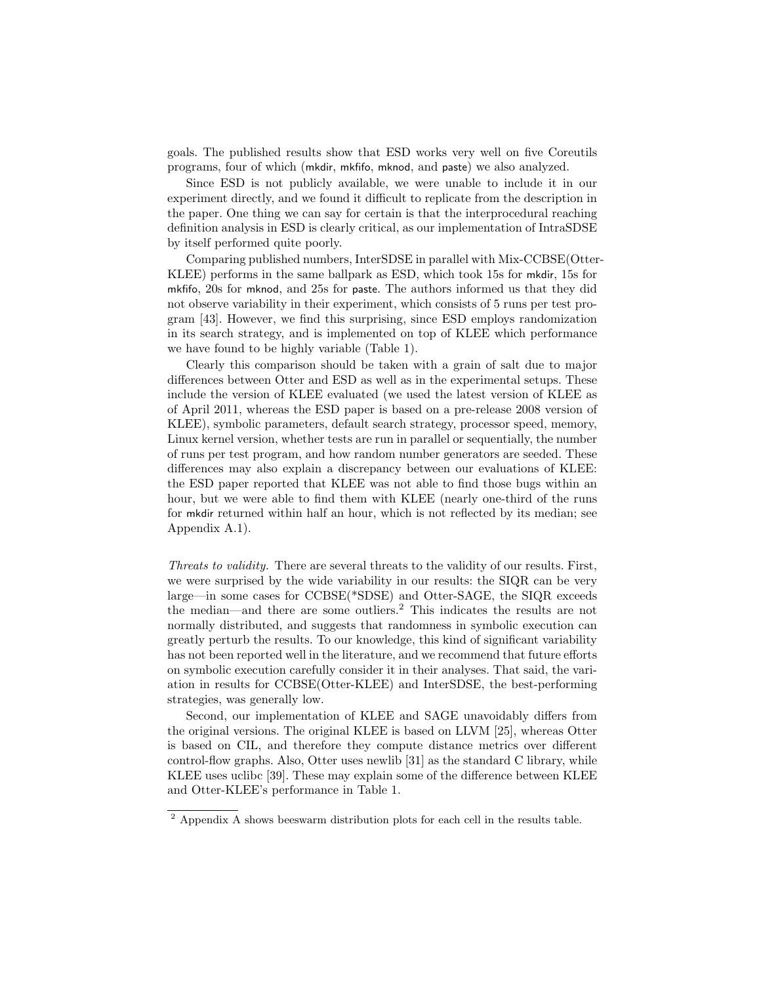goals. The published results show that ESD works very well on five Coreutils programs, four of which (mkdir, mkfifo, mknod, and paste) we also analyzed.

Since ESD is not publicly available, we were unable to include it in our experiment directly, and we found it difficult to replicate from the description in the paper. One thing we can say for certain is that the interprocedural reaching definition analysis in ESD is clearly critical, as our implementation of IntraSDSE by itself performed quite poorly.

Comparing published numbers, InterSDSE in parallel with Mix-CCBSE(Otter-KLEE) performs in the same ballpark as ESD, which took 15s for mkdir, 15s for mkfifo, 20s for mknod, and 25s for paste. The authors informed us that they did not observe variability in their experiment, which consists of 5 runs per test program [43]. However, we find this surprising, since ESD employs randomization in its search strategy, and is implemented on top of KLEE which performance we have found to be highly variable (Table 1).

Clearly this comparison should be taken with a grain of salt due to major differences between Otter and ESD as well as in the experimental setups. These include the version of KLEE evaluated (we used the latest version of KLEE as of April 2011, whereas the ESD paper is based on a pre-release 2008 version of KLEE), symbolic parameters, default search strategy, processor speed, memory, Linux kernel version, whether tests are run in parallel or sequentially, the number of runs per test program, and how random number generators are seeded. These differences may also explain a discrepancy between our evaluations of KLEE: the ESD paper reported that KLEE was not able to find those bugs within an hour, but we were able to find them with KLEE (nearly one-third of the runs for mkdir returned within half an hour, which is not reflected by its median; see Appendix A.1).

Threats to validity. There are several threats to the validity of our results. First, we were surprised by the wide variability in our results: the SIQR can be very large—in some cases for CCBSE(\*SDSE) and Otter-SAGE, the SIQR exceeds the median—and there are some outliers.<sup>2</sup> This indicates the results are not normally distributed, and suggests that randomness in symbolic execution can greatly perturb the results. To our knowledge, this kind of significant variability has not been reported well in the literature, and we recommend that future efforts on symbolic execution carefully consider it in their analyses. That said, the variation in results for CCBSE(Otter-KLEE) and InterSDSE, the best-performing strategies, was generally low.

Second, our implementation of KLEE and SAGE unavoidably differs from the original versions. The original KLEE is based on LLVM [25], whereas Otter is based on CIL, and therefore they compute distance metrics over different control-flow graphs. Also, Otter uses newlib [31] as the standard C library, while KLEE uses uclibc [39]. These may explain some of the difference between KLEE and Otter-KLEE's performance in Table 1.

<sup>&</sup>lt;sup>2</sup> Appendix A shows beeswarm distribution plots for each cell in the results table.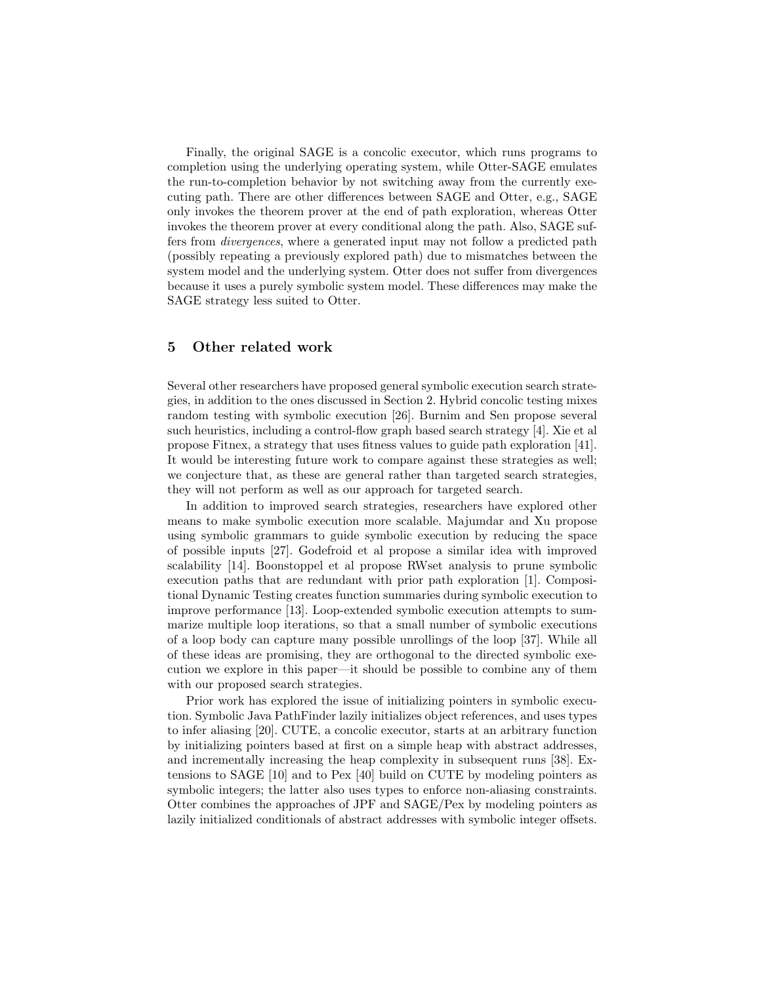Finally, the original SAGE is a concolic executor, which runs programs to completion using the underlying operating system, while Otter-SAGE emulates the run-to-completion behavior by not switching away from the currently executing path. There are other differences between SAGE and Otter, e.g., SAGE only invokes the theorem prover at the end of path exploration, whereas Otter invokes the theorem prover at every conditional along the path. Also, SAGE suffers from divergences, where a generated input may not follow a predicted path (possibly repeating a previously explored path) due to mismatches between the system model and the underlying system. Otter does not suffer from divergences because it uses a purely symbolic system model. These differences may make the SAGE strategy less suited to Otter.

## 5 Other related work

Several other researchers have proposed general symbolic execution search strategies, in addition to the ones discussed in Section 2. Hybrid concolic testing mixes random testing with symbolic execution [26]. Burnim and Sen propose several such heuristics, including a control-flow graph based search strategy [4]. Xie et al propose Fitnex, a strategy that uses fitness values to guide path exploration [41]. It would be interesting future work to compare against these strategies as well; we conjecture that, as these are general rather than targeted search strategies, they will not perform as well as our approach for targeted search.

In addition to improved search strategies, researchers have explored other means to make symbolic execution more scalable. Majumdar and Xu propose using symbolic grammars to guide symbolic execution by reducing the space of possible inputs [27]. Godefroid et al propose a similar idea with improved scalability [14]. Boonstoppel et al propose RWset analysis to prune symbolic execution paths that are redundant with prior path exploration [1]. Compositional Dynamic Testing creates function summaries during symbolic execution to improve performance [13]. Loop-extended symbolic execution attempts to summarize multiple loop iterations, so that a small number of symbolic executions of a loop body can capture many possible unrollings of the loop [37]. While all of these ideas are promising, they are orthogonal to the directed symbolic execution we explore in this paper—it should be possible to combine any of them with our proposed search strategies.

Prior work has explored the issue of initializing pointers in symbolic execution. Symbolic Java PathFinder lazily initializes object references, and uses types to infer aliasing [20]. CUTE, a concolic executor, starts at an arbitrary function by initializing pointers based at first on a simple heap with abstract addresses, and incrementally increasing the heap complexity in subsequent runs [38]. Extensions to SAGE [10] and to Pex [40] build on CUTE by modeling pointers as symbolic integers; the latter also uses types to enforce non-aliasing constraints. Otter combines the approaches of JPF and SAGE/Pex by modeling pointers as lazily initialized conditionals of abstract addresses with symbolic integer offsets.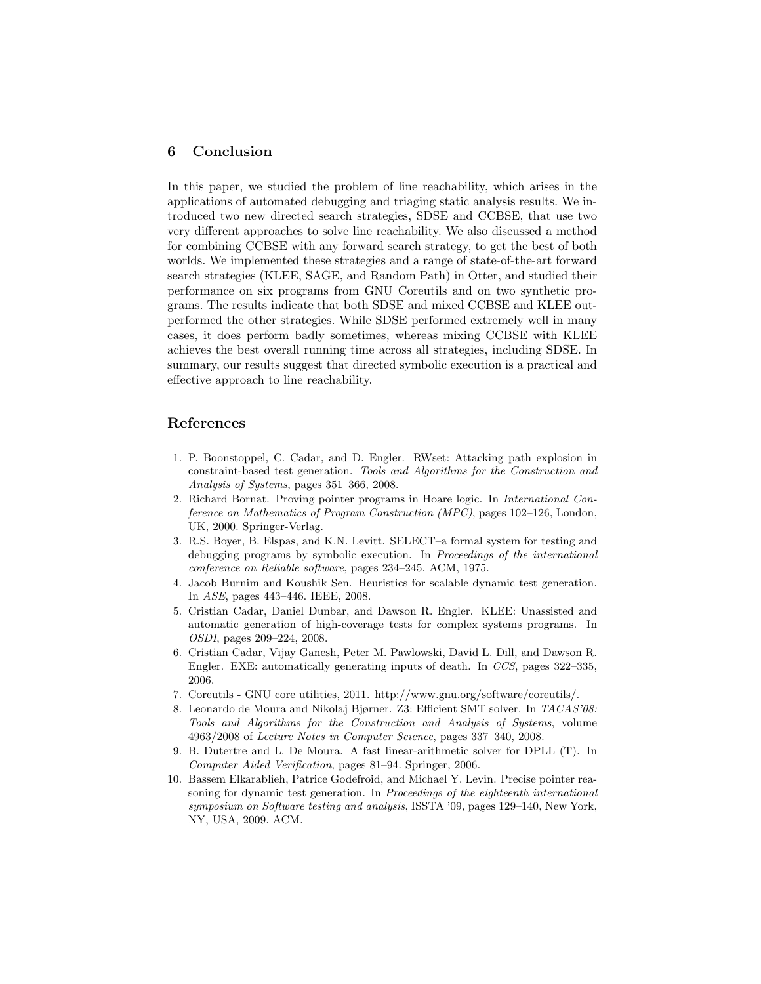## 6 Conclusion

In this paper, we studied the problem of line reachability, which arises in the applications of automated debugging and triaging static analysis results. We introduced two new directed search strategies, SDSE and CCBSE, that use two very different approaches to solve line reachability. We also discussed a method for combining CCBSE with any forward search strategy, to get the best of both worlds. We implemented these strategies and a range of state-of-the-art forward search strategies (KLEE, SAGE, and Random Path) in Otter, and studied their performance on six programs from GNU Coreutils and on two synthetic programs. The results indicate that both SDSE and mixed CCBSE and KLEE outperformed the other strategies. While SDSE performed extremely well in many cases, it does perform badly sometimes, whereas mixing CCBSE with KLEE achieves the best overall running time across all strategies, including SDSE. In summary, our results suggest that directed symbolic execution is a practical and effective approach to line reachability.

## References

- 1. P. Boonstoppel, C. Cadar, and D. Engler. RWset: Attacking path explosion in constraint-based test generation. Tools and Algorithms for the Construction and Analysis of Systems, pages 351–366, 2008.
- 2. Richard Bornat. Proving pointer programs in Hoare logic. In International Conference on Mathematics of Program Construction (MPC), pages 102–126, London, UK, 2000. Springer-Verlag.
- 3. R.S. Boyer, B. Elspas, and K.N. Levitt. SELECT–a formal system for testing and debugging programs by symbolic execution. In Proceedings of the international conference on Reliable software, pages 234–245. ACM, 1975.
- 4. Jacob Burnim and Koushik Sen. Heuristics for scalable dynamic test generation. In ASE, pages 443–446. IEEE, 2008.
- 5. Cristian Cadar, Daniel Dunbar, and Dawson R. Engler. KLEE: Unassisted and automatic generation of high-coverage tests for complex systems programs. In OSDI, pages 209–224, 2008.
- 6. Cristian Cadar, Vijay Ganesh, Peter M. Pawlowski, David L. Dill, and Dawson R. Engler. EXE: automatically generating inputs of death. In CCS, pages 322–335, 2006.
- 7. Coreutils GNU core utilities, 2011. http://www.gnu.org/software/coreutils/.
- 8. Leonardo de Moura and Nikolaj Bjørner. Z3: Efficient SMT solver. In TACAS'08: Tools and Algorithms for the Construction and Analysis of Systems, volume 4963/2008 of Lecture Notes in Computer Science, pages 337–340, 2008.
- 9. B. Dutertre and L. De Moura. A fast linear-arithmetic solver for DPLL (T). In Computer Aided Verification, pages 81–94. Springer, 2006.
- 10. Bassem Elkarablieh, Patrice Godefroid, and Michael Y. Levin. Precise pointer reasoning for dynamic test generation. In Proceedings of the eighteenth international symposium on Software testing and analysis, ISSTA '09, pages 129–140, New York, NY, USA, 2009. ACM.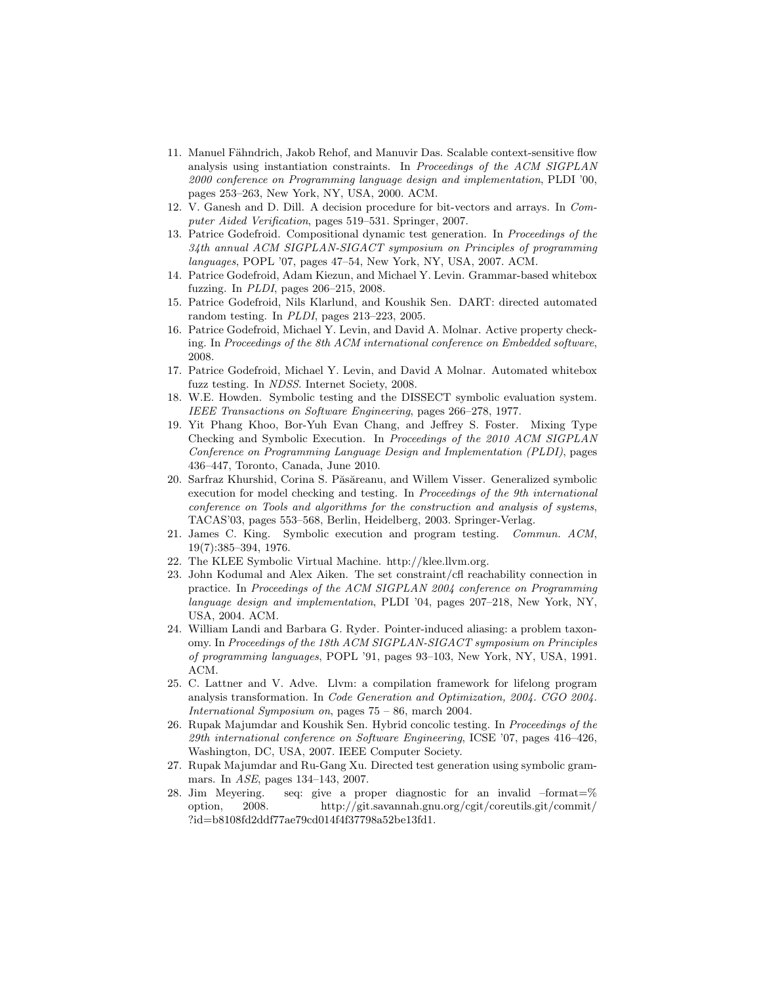- 11. Manuel Fähndrich, Jakob Rehof, and Manuvir Das. Scalable context-sensitive flow analysis using instantiation constraints. In Proceedings of the ACM SIGPLAN 2000 conference on Programming language design and implementation, PLDI '00, pages 253–263, New York, NY, USA, 2000. ACM.
- 12. V. Ganesh and D. Dill. A decision procedure for bit-vectors and arrays. In Computer Aided Verification, pages 519–531. Springer, 2007.
- 13. Patrice Godefroid. Compositional dynamic test generation. In Proceedings of the 34th annual ACM SIGPLAN-SIGACT symposium on Principles of programming languages, POPL '07, pages 47–54, New York, NY, USA, 2007. ACM.
- 14. Patrice Godefroid, Adam Kiezun, and Michael Y. Levin. Grammar-based whitebox fuzzing. In PLDI, pages 206–215, 2008.
- 15. Patrice Godefroid, Nils Klarlund, and Koushik Sen. DART: directed automated random testing. In PLDI, pages 213–223, 2005.
- 16. Patrice Godefroid, Michael Y. Levin, and David A. Molnar. Active property checking. In Proceedings of the 8th ACM international conference on Embedded software, 2008.
- 17. Patrice Godefroid, Michael Y. Levin, and David A Molnar. Automated whitebox fuzz testing. In NDSS. Internet Society, 2008.
- 18. W.E. Howden. Symbolic testing and the DISSECT symbolic evaluation system. IEEE Transactions on Software Engineering, pages 266–278, 1977.
- 19. Yit Phang Khoo, Bor-Yuh Evan Chang, and Jeffrey S. Foster. Mixing Type Checking and Symbolic Execution. In Proceedings of the 2010 ACM SIGPLAN Conference on Programming Language Design and Implementation (PLDI), pages 436–447, Toronto, Canada, June 2010.
- 20. Sarfraz Khurshid, Corina S. Păsăreanu, and Willem Visser. Generalized symbolic execution for model checking and testing. In Proceedings of the 9th international conference on Tools and algorithms for the construction and analysis of systems, TACAS'03, pages 553–568, Berlin, Heidelberg, 2003. Springer-Verlag.
- 21. James C. King. Symbolic execution and program testing. Commun. ACM, 19(7):385–394, 1976.
- 22. The KLEE Symbolic Virtual Machine. http://klee.llvm.org.
- 23. John Kodumal and Alex Aiken. The set constraint/cfl reachability connection in practice. In Proceedings of the ACM SIGPLAN 2004 conference on Programming language design and implementation, PLDI '04, pages 207–218, New York, NY, USA, 2004. ACM.
- 24. William Landi and Barbara G. Ryder. Pointer-induced aliasing: a problem taxonomy. In Proceedings of the 18th ACM SIGPLAN-SIGACT symposium on Principles of programming languages, POPL '91, pages 93–103, New York, NY, USA, 1991. ACM.
- 25. C. Lattner and V. Adve. Llvm: a compilation framework for lifelong program analysis transformation. In Code Generation and Optimization, 2004. CGO 2004. International Symposium on, pages 75 – 86, march 2004.
- 26. Rupak Majumdar and Koushik Sen. Hybrid concolic testing. In Proceedings of the 29th international conference on Software Engineering, ICSE '07, pages 416–426, Washington, DC, USA, 2007. IEEE Computer Society.
- 27. Rupak Majumdar and Ru-Gang Xu. Directed test generation using symbolic grammars. In ASE, pages 134–143, 2007.
- 28. Jim Meyering. seq: give a proper diagnostic for an invalid –format=% option, 2008. http://git.savannah.gnu.org/cgit/coreutils.git/commit/ ?id=b8108fd2ddf77ae79cd014f4f37798a52be13fd1.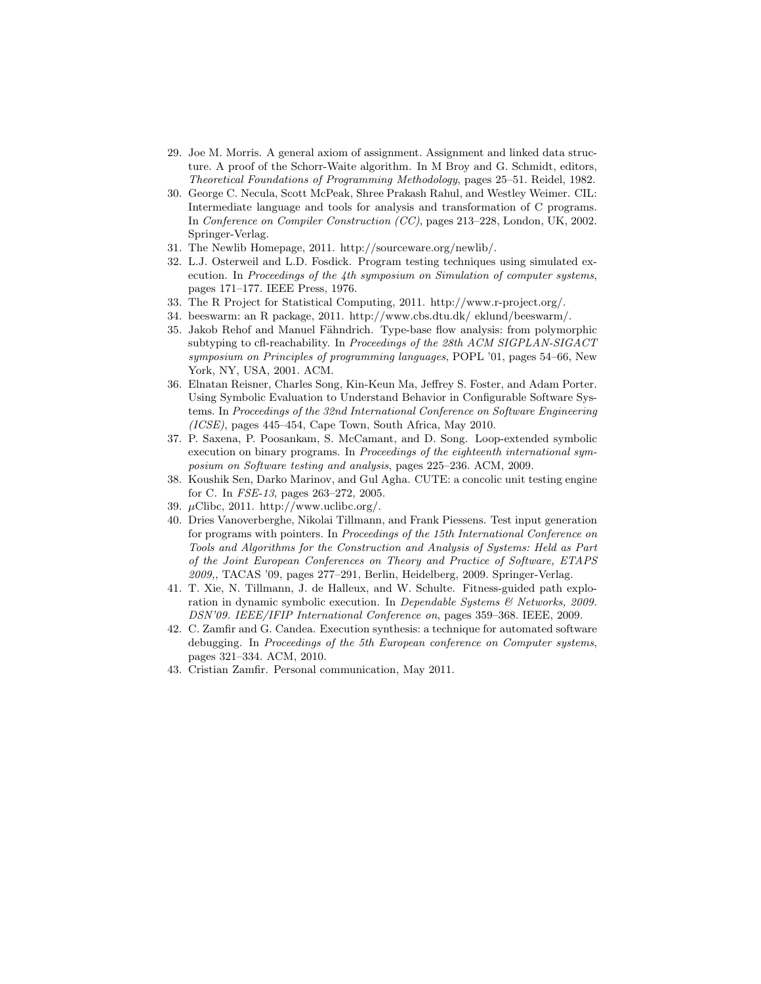- 29. Joe M. Morris. A general axiom of assignment. Assignment and linked data structure. A proof of the Schorr-Waite algorithm. In M Broy and G. Schmidt, editors, Theoretical Foundations of Programming Methodology, pages 25–51. Reidel, 1982.
- 30. George C. Necula, Scott McPeak, Shree Prakash Rahul, and Westley Weimer. CIL: Intermediate language and tools for analysis and transformation of C programs. In Conference on Compiler Construction (CC), pages 213–228, London, UK, 2002. Springer-Verlag.
- 31. The Newlib Homepage, 2011. http://sourceware.org/newlib/.
- 32. L.J. Osterweil and L.D. Fosdick. Program testing techniques using simulated execution. In Proceedings of the 4th symposium on Simulation of computer systems, pages 171–177. IEEE Press, 1976.
- 33. The R Project for Statistical Computing, 2011. http://www.r-project.org/.
- 34. beeswarm: an R package, 2011. http://www.cbs.dtu.dk/ eklund/beeswarm/.
- 35. Jakob Rehof and Manuel Fähndrich. Type-base flow analysis: from polymorphic subtyping to cfl-reachability. In Proceedings of the 28th ACM SIGPLAN-SIGACT symposium on Principles of programming languages, POPL '01, pages 54–66, New York, NY, USA, 2001. ACM.
- 36. Elnatan Reisner, Charles Song, Kin-Keun Ma, Jeffrey S. Foster, and Adam Porter. Using Symbolic Evaluation to Understand Behavior in Configurable Software Systems. In Proceedings of the 32nd International Conference on Software Engineering (ICSE), pages 445–454, Cape Town, South Africa, May 2010.
- 37. P. Saxena, P. Poosankam, S. McCamant, and D. Song. Loop-extended symbolic execution on binary programs. In Proceedings of the eighteenth international symposium on Software testing and analysis, pages 225–236. ACM, 2009.
- 38. Koushik Sen, Darko Marinov, and Gul Agha. CUTE: a concolic unit testing engine for C. In FSE-13, pages 263–272, 2005.
- 39. µClibc, 2011. http://www.uclibc.org/.
- 40. Dries Vanoverberghe, Nikolai Tillmann, and Frank Piessens. Test input generation for programs with pointers. In Proceedings of the 15th International Conference on Tools and Algorithms for the Construction and Analysis of Systems: Held as Part of the Joint European Conferences on Theory and Practice of Software, ETAPS 2009,, TACAS '09, pages 277–291, Berlin, Heidelberg, 2009. Springer-Verlag.
- 41. T. Xie, N. Tillmann, J. de Halleux, and W. Schulte. Fitness-guided path exploration in dynamic symbolic execution. In Dependable Systems & Networks, 2009. DSN'09. IEEE/IFIP International Conference on, pages 359–368. IEEE, 2009.
- 42. C. Zamfir and G. Candea. Execution synthesis: a technique for automated software debugging. In Proceedings of the 5th European conference on Computer systems, pages 321–334. ACM, 2010.
- 43. Cristian Zamfir. Personal communication, May 2011.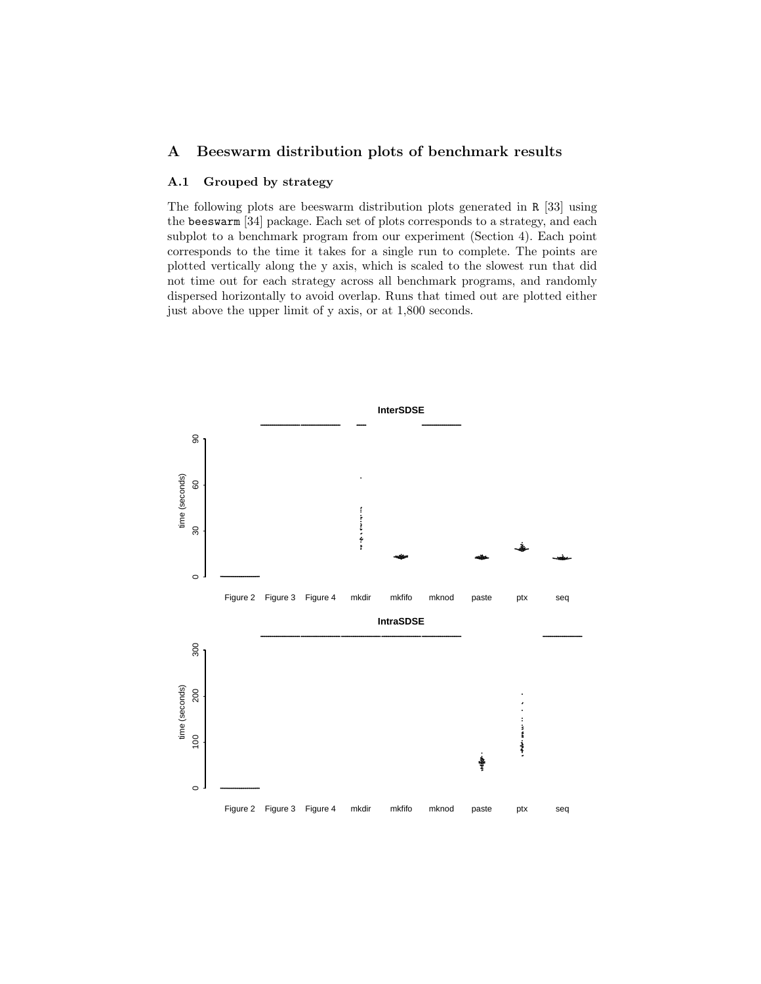## A Beeswarm distribution plots of benchmark results

### A.1 Grouped by strategy

The following plots are beeswarm distribution plots generated in R [33] using the beeswarm [34] package. Each set of plots corresponds to a strategy, and each subplot to a benchmark program from our experiment (Section 4). Each point corresponds to the time it takes for a single run to complete. The points are plotted vertically along the y axis, which is scaled to the slowest run that did not time out for each strategy across all benchmark programs, and randomly dispersed horizontally to avoid overlap. Runs that timed out are plotted either just above the upper limit of y axis, or at 1,800 seconds.

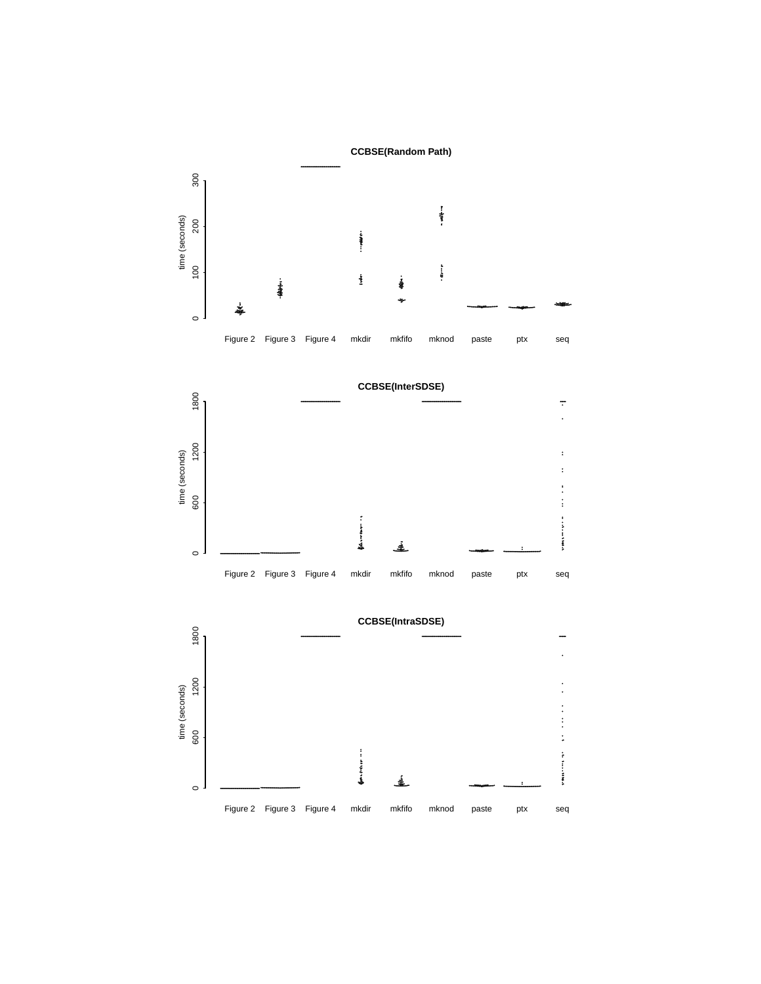



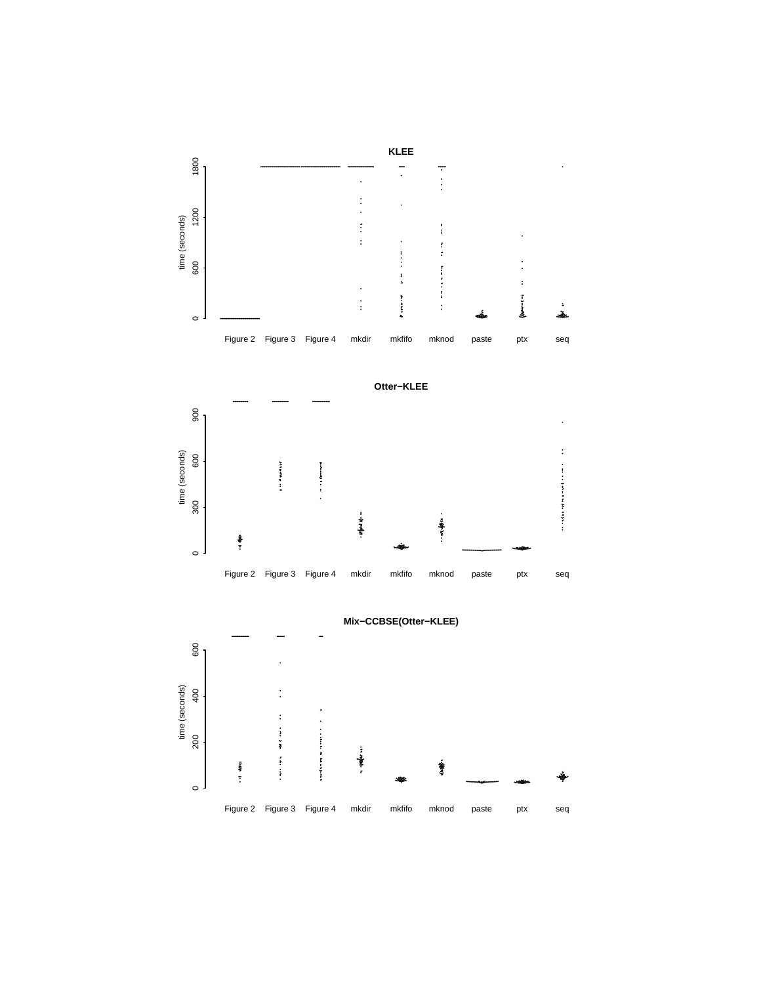



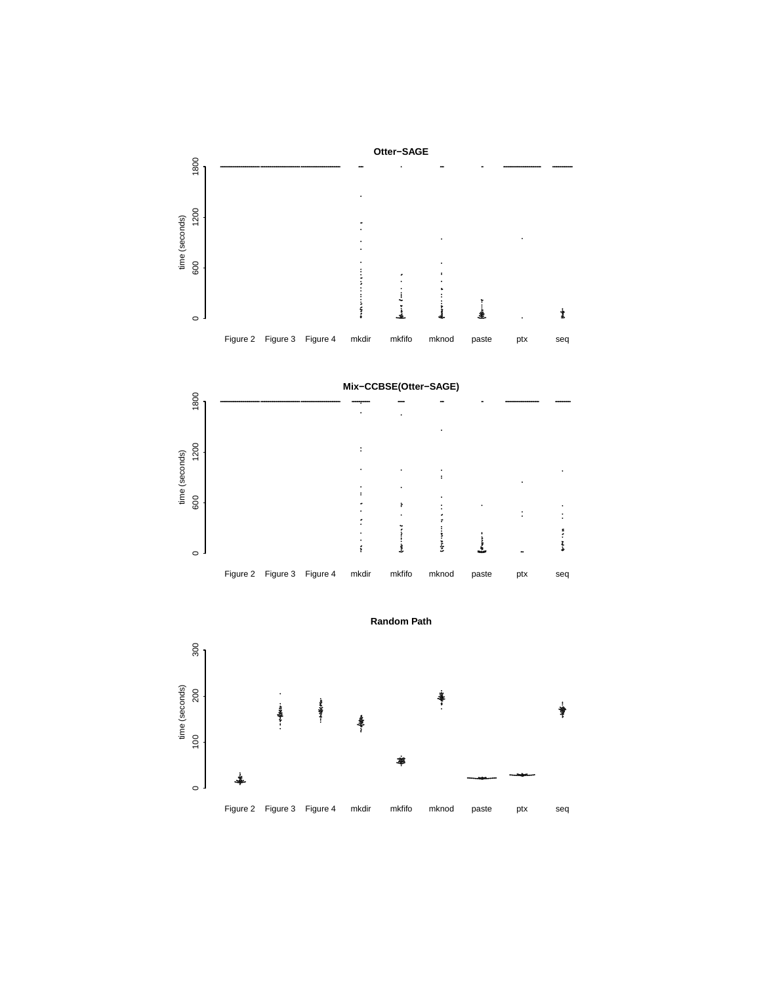





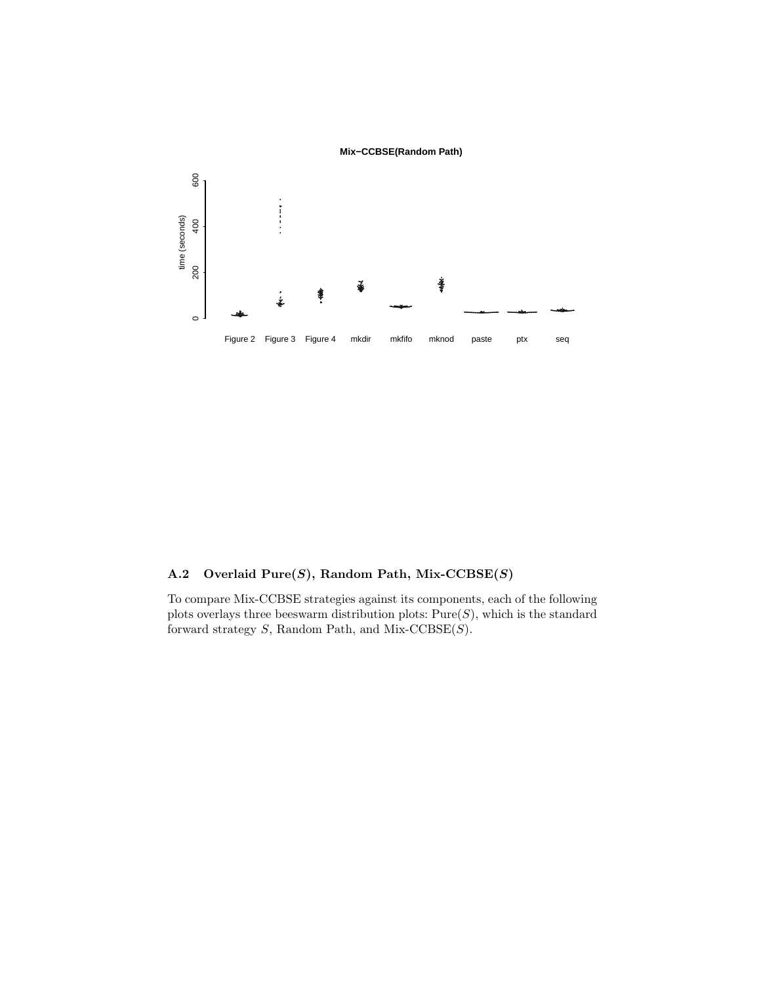

## A.2 Overlaid  $Pure(S)$ , Random Path, Mix-CCBSE $(S)$

To compare Mix-CCBSE strategies against its components, each of the following plots overlays three beeswarm distribution plots:  $Pure(S)$ , which is the standard forward strategy  $S$ , Random Path, and Mix-CCBSE $(S)$ .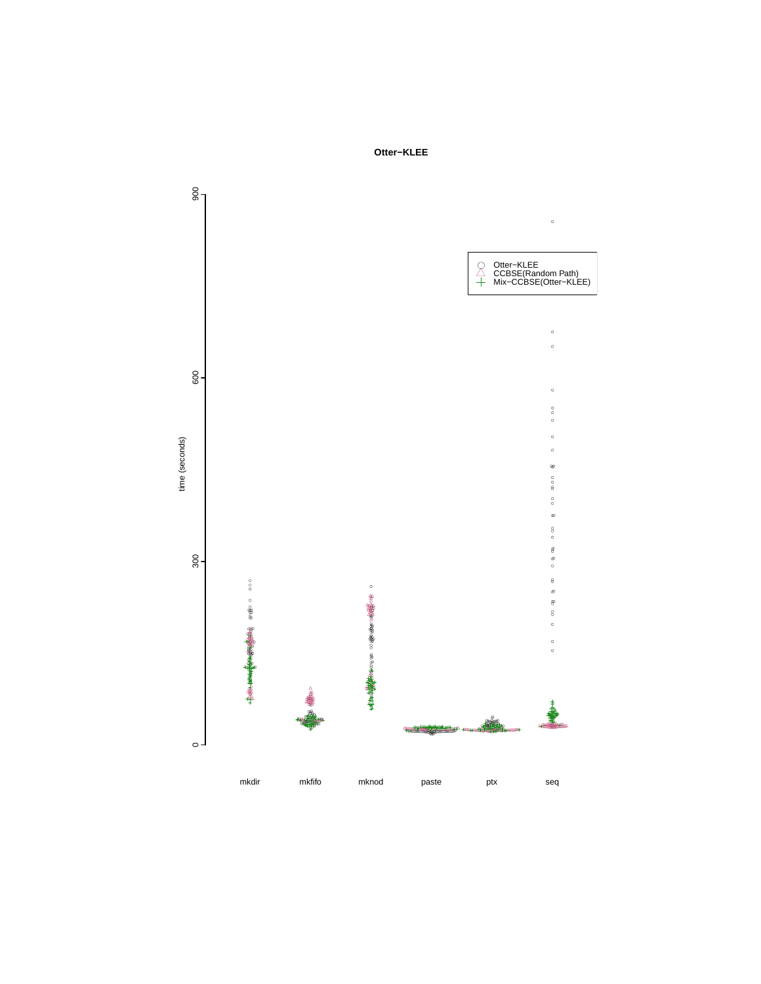

Otter-KLEE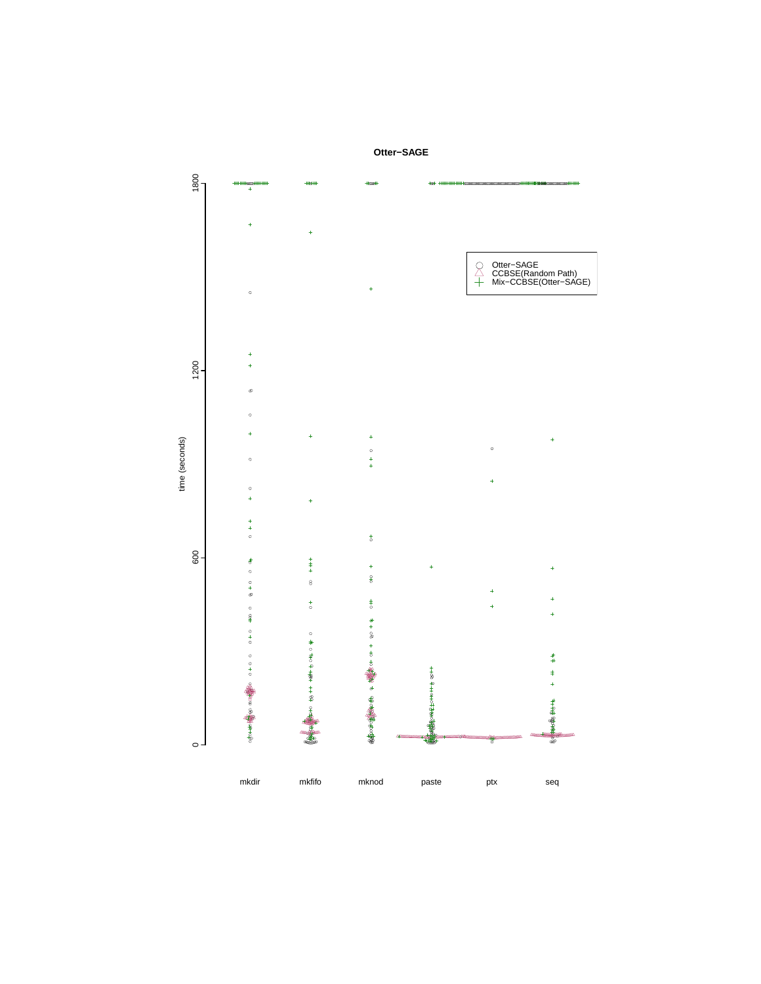

Otter-SAGE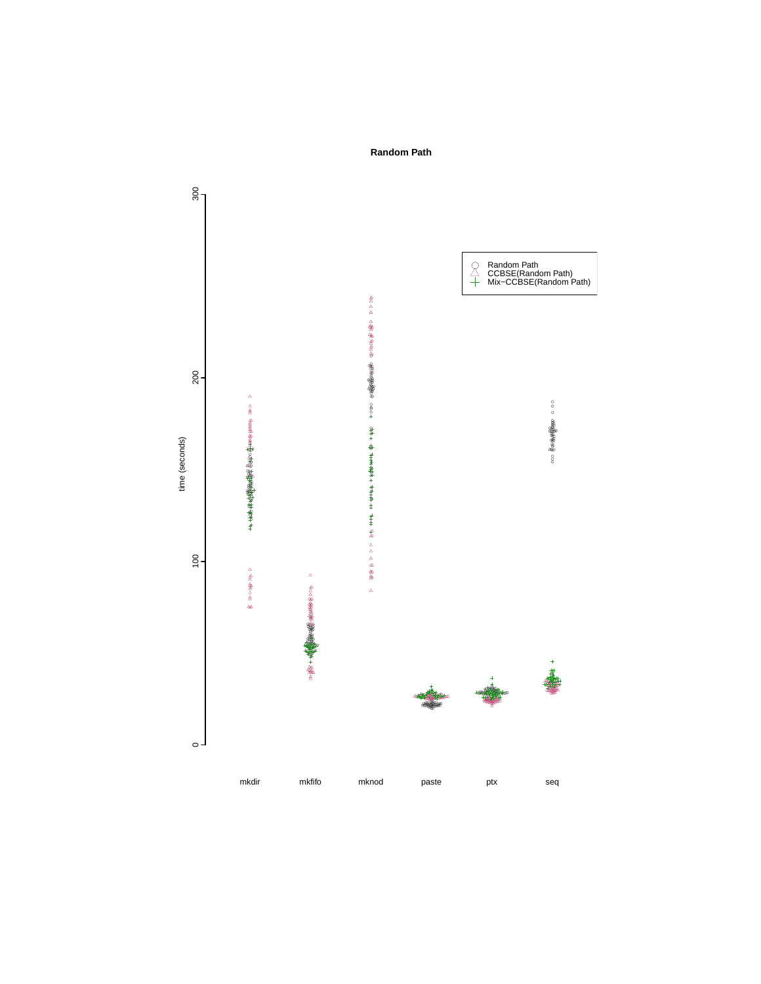

**Random Path**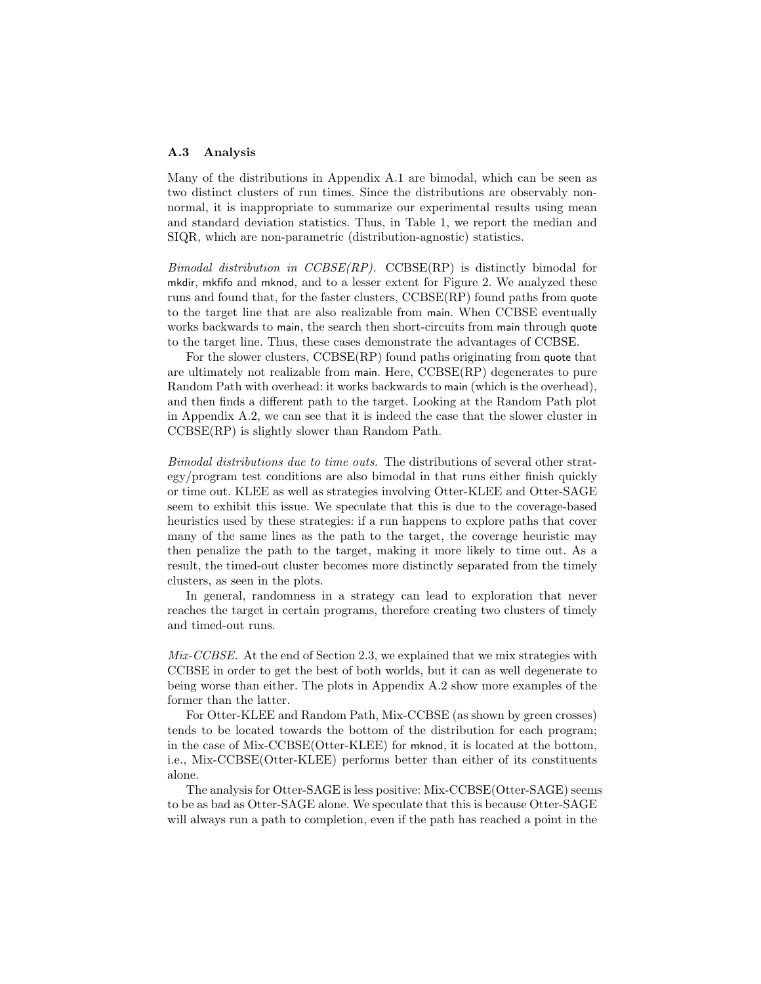#### A.3 Analysis

Many of the distributions in Appendix A.1 are bimodal, which can be seen as two distinct clusters of run times. Since the distributions are observably nonnormal, it is inappropriate to summarize our experimental results using mean and standard deviation statistics. Thus, in Table 1, we report the median and SIQR, which are non-parametric (distribution-agnostic) statistics.

Bimodal distribution in  $CCBSE(RP)$ . CCBSE(RP) is distinctly bimodal for mkdir, mkfifo and mknod, and to a lesser extent for Figure 2. We analyzed these runs and found that, for the faster clusters, CCBSE(RP) found paths from quote to the target line that are also realizable from main. When CCBSE eventually works backwards to main, the search then short-circuits from main through quote to the target line. Thus, these cases demonstrate the advantages of CCBSE.

For the slower clusters, CCBSE(RP) found paths originating from quote that are ultimately not realizable from main. Here, CCBSE(RP) degenerates to pure Random Path with overhead: it works backwards to main (which is the overhead), and then finds a different path to the target. Looking at the Random Path plot in Appendix A.2, we can see that it is indeed the case that the slower cluster in CCBSE(RP) is slightly slower than Random Path.

Bimodal distributions due to time outs. The distributions of several other strategy/program test conditions are also bimodal in that runs either finish quickly or time out. KLEE as well as strategies involving Otter-KLEE and Otter-SAGE seem to exhibit this issue. We speculate that this is due to the coverage-based heuristics used by these strategies: if a run happens to explore paths that cover many of the same lines as the path to the target, the coverage heuristic may then penalize the path to the target, making it more likely to time out. As a result, the timed-out cluster becomes more distinctly separated from the timely clusters, as seen in the plots.

In general, randomness in a strategy can lead to exploration that never reaches the target in certain programs, therefore creating two clusters of timely and timed-out runs.

Mix-CCBSE. At the end of Section 2.3, we explained that we mix strategies with CCBSE in order to get the best of both worlds, but it can as well degenerate to being worse than either. The plots in Appendix A.2 show more examples of the former than the latter.

For Otter-KLEE and Random Path, Mix-CCBSE (as shown by green crosses) tends to be located towards the bottom of the distribution for each program; in the case of Mix-CCBSE(Otter-KLEE) for mknod, it is located at the bottom, i.e., Mix-CCBSE(Otter-KLEE) performs better than either of its constituents alone.

The analysis for Otter-SAGE is less positive: Mix-CCBSE(Otter-SAGE) seems to be as bad as Otter-SAGE alone. We speculate that this is because Otter-SAGE will always run a path to completion, even if the path has reached a point in the